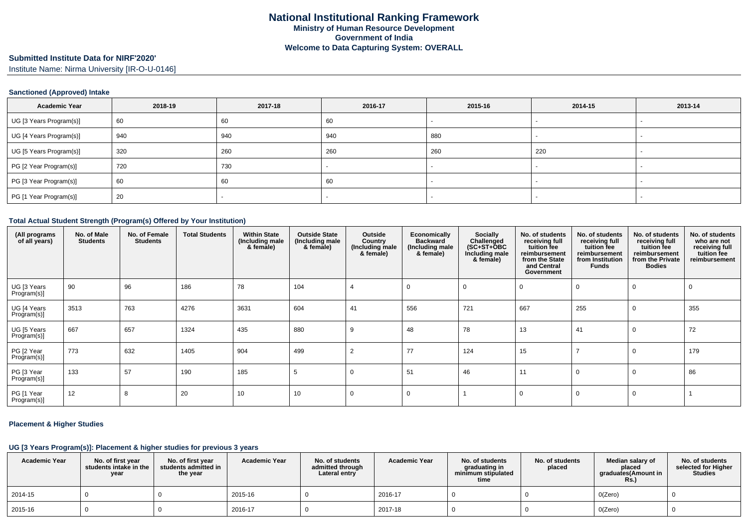# **Submitted Institute Data for NIRF'2020'**

Institute Name: Nirma University [IR-O-U-0146]

#### **Sanctioned (Approved) Intake**

| <b>Academic Year</b>    | 2018-19 | 2017-18 | 2016-17 | 2015-16 | 2014-15 | 2013-14 |
|-------------------------|---------|---------|---------|---------|---------|---------|
| UG [3 Years Program(s)] | 60      | 60      | 60      |         |         |         |
| UG [4 Years Program(s)] | 940     | 940     | 940     | 880     |         |         |
| UG [5 Years Program(s)] | 320     | 260     | 260     | 260     | 220     |         |
| PG [2 Year Program(s)]  | 720     | 730     |         |         |         |         |
| PG [3 Year Program(s)]  | 60      | 60      | 60      |         |         |         |
| PG [1 Year Program(s)]  | 20      |         |         |         |         |         |

#### **Total Actual Student Strength (Program(s) Offered by Your Institution)**

| (All programs<br>of all years) | No. of Male<br><b>Students</b> | No. of Female<br><b>Students</b> | <b>Total Students</b> | <b>Within State</b><br>(Including male<br>& female) | <b>Outside State</b><br>(Including male<br>& female) | Outside<br>Country<br>(Including male<br>& female) | Economically<br><b>Backward</b><br>(Including male<br>& female) | Socially<br>Challenged<br>$(SC+ST+\text{O}BC)$<br>Including male<br>& female) | No. of students<br>receiving full<br>tuition fee<br>reimbursement<br>from the State<br>and Central<br>Government | No. of students<br>receiving full<br>tuition fee<br>reimbursement<br>from Institution<br><b>Funds</b> | No. of students<br>receiving full<br>tuition fee<br>reimbursement<br>from the Private<br><b>Bodies</b> | No. of students<br>who are not<br>receiving full<br>tuition fee<br>reimbursement |
|--------------------------------|--------------------------------|----------------------------------|-----------------------|-----------------------------------------------------|------------------------------------------------------|----------------------------------------------------|-----------------------------------------------------------------|-------------------------------------------------------------------------------|------------------------------------------------------------------------------------------------------------------|-------------------------------------------------------------------------------------------------------|--------------------------------------------------------------------------------------------------------|----------------------------------------------------------------------------------|
| UG [3 Years<br>Program(s)]     | 90                             | 96                               | 186                   | 78                                                  | 104                                                  |                                                    |                                                                 |                                                                               |                                                                                                                  |                                                                                                       |                                                                                                        | -0                                                                               |
| UG [4 Years<br>Program(s)]     | 3513                           | 763                              | 4276                  | 3631                                                | 604                                                  | 41                                                 | 556                                                             | 721                                                                           | 667                                                                                                              | 255                                                                                                   | 0                                                                                                      | 355                                                                              |
| UG [5 Years<br>Program(s)]     | 667                            | 657                              | 1324                  | 435                                                 | 880                                                  | 9                                                  | 48                                                              | 78                                                                            | 13                                                                                                               | 41                                                                                                    |                                                                                                        | 72                                                                               |
| PG [2 Year<br>Program(s)]      | 773                            | 632                              | 1405                  | 904                                                 | 499                                                  | $\overline{2}$                                     | 77                                                              | 124                                                                           | 15                                                                                                               |                                                                                                       |                                                                                                        | 179                                                                              |
| PG [3 Year<br>Program(s)]      | 133                            | 57                               | 190                   | 185                                                 | 5                                                    | $\Omega$                                           | 51                                                              | 46                                                                            | 11                                                                                                               |                                                                                                       |                                                                                                        | 86                                                                               |
| PG [1 Year<br>Program(s)]      | 12                             | 8                                | 20                    | 10                                                  | 10                                                   | 0                                                  |                                                                 |                                                                               |                                                                                                                  |                                                                                                       | $\mathbf 0$                                                                                            |                                                                                  |

#### **Placement & Higher Studies**

### **UG [3 Years Program(s)]: Placement & higher studies for previous 3 years**

| <b>Academic Year</b> | No. of first year<br>students intake in the<br>year | No. of first year<br>students admitted in<br>the year | <b>Academic Year</b> | No. of students<br>admitted through<br>Lateral entry | <b>Academic Year</b> | No. of students<br>graduating in<br>minimum stipulated<br>time | No. of students<br>placed | Median salary of<br>placed<br>graduates(Amount in<br>Rs.) | No. of students<br>selected for Higher<br><b>Studies</b> |
|----------------------|-----------------------------------------------------|-------------------------------------------------------|----------------------|------------------------------------------------------|----------------------|----------------------------------------------------------------|---------------------------|-----------------------------------------------------------|----------------------------------------------------------|
| 2014-15              |                                                     |                                                       | 2015-16              |                                                      | 2016-17              |                                                                |                           | O(Zero)                                                   |                                                          |
| 2015-16              |                                                     |                                                       | 2016-17              |                                                      | 2017-18              |                                                                |                           | O(Zero)                                                   |                                                          |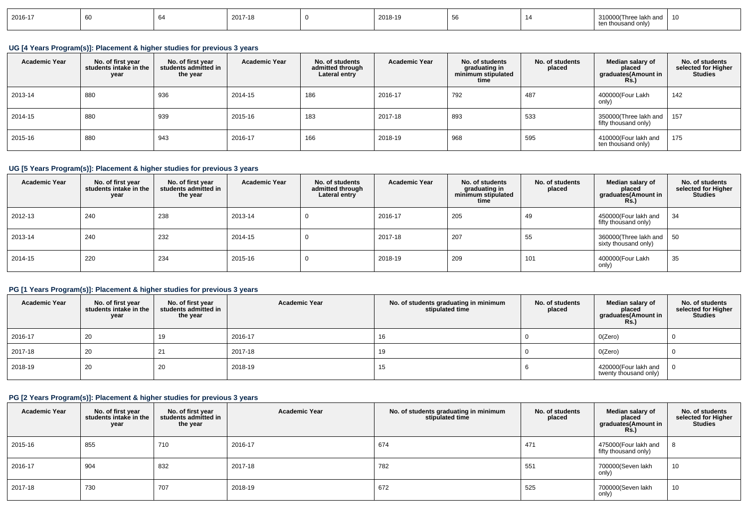| 2016-17 |  |  | 2017-18 |  | 2018-19 |  |  | ∍חי? ∩חי | . |
|---------|--|--|---------|--|---------|--|--|----------|---|
|---------|--|--|---------|--|---------|--|--|----------|---|

### **UG [4 Years Program(s)]: Placement & higher studies for previous 3 years**

| <b>Academic Year</b> | No. of first year<br>students intake in the<br>year | No. of first vear<br>students admitted in<br>the year | <b>Academic Year</b> | No. of students<br>admitted through<br>Lateral entry | <b>Academic Year</b> | No. of students<br>graduating in<br>minimum stipulated<br>time | No. of students<br>placed | Median salary of<br>placed<br>graduates(Amount in<br><b>Rs.</b> ) | No. of students<br>selected for Higher<br><b>Studies</b> |
|----------------------|-----------------------------------------------------|-------------------------------------------------------|----------------------|------------------------------------------------------|----------------------|----------------------------------------------------------------|---------------------------|-------------------------------------------------------------------|----------------------------------------------------------|
| 2013-14              | 880                                                 | 936                                                   | 2014-15              | 186                                                  | 2016-17              | 792                                                            | 487                       | 400000(Four Lakh<br>only)                                         | 142                                                      |
| 2014-15              | 880                                                 | 939                                                   | 2015-16              | 183                                                  | 2017-18              | 893                                                            | 533                       | 350000(Three lakh and  <br>fifty thousand only)                   | 157                                                      |
| 2015-16              | 880                                                 | 943                                                   | 2016-17              | 166                                                  | 2018-19              | 968                                                            | 595                       | 410000(Four lakh and<br>ten thousand only)                        | 175                                                      |

## **UG [5 Years Program(s)]: Placement & higher studies for previous 3 years**

| <b>Academic Year</b> | No. of first year<br>students intake in the<br>year | No. of first vear<br>students admitted in<br>the year | <b>Academic Year</b> | No. of students<br>admitted through<br>Lateral entry | <b>Academic Year</b> | No. of students<br>graduating in<br>minimum stipulated<br>time | No. of students<br>placed | Median salary of<br>placed<br>graduates(Amount in<br>Rs.) | No. of students<br>selected for Higher<br><b>Studies</b> |
|----------------------|-----------------------------------------------------|-------------------------------------------------------|----------------------|------------------------------------------------------|----------------------|----------------------------------------------------------------|---------------------------|-----------------------------------------------------------|----------------------------------------------------------|
| 2012-13              | 240                                                 | 238                                                   | 2013-14              |                                                      | 2016-17              | 205                                                            | 49                        | 450000(Four lakh and<br>fifty thousand only)              | 34                                                       |
| 2013-14              | 240                                                 | 232                                                   | 2014-15              | υ                                                    | 2017-18              | 207                                                            | 55                        | 360000(Three lakh and   50<br>sixty thousand only)        |                                                          |
| 2014-15              | 220                                                 | 234                                                   | 2015-16              | υ                                                    | 2018-19              | 209                                                            | 101                       | 400000(Four Lakh<br>only)                                 | 35                                                       |

### **PG [1 Years Program(s)]: Placement & higher studies for previous 3 years**

| <b>Academic Year</b> | No. of first year students intake in the<br>year | No. of first year<br>students admitted in<br>the year | <b>Academic Year</b> | No. of students graduating in minimum<br>stipulated time | No. of students<br>placed | Median salary of<br>placed<br>graduates(Amount in<br><b>Rs.)</b> | No. of students<br>selected for Higher<br><b>Studies</b> |
|----------------------|--------------------------------------------------|-------------------------------------------------------|----------------------|----------------------------------------------------------|---------------------------|------------------------------------------------------------------|----------------------------------------------------------|
| 2016-17              | 20                                               | 19                                                    | 2016-17              | 16                                                       |                           | O(Zero)                                                          |                                                          |
| 2017-18              | 20                                               |                                                       | 2017-18              | 19                                                       |                           | O(Zero)                                                          |                                                          |
| 2018-19              | 20                                               | 20                                                    | 2018-19              | 15                                                       |                           | 420000(Four lakh and<br>twenty thousand only)                    |                                                          |

# **PG [2 Years Program(s)]: Placement & higher studies for previous 3 years**

| <b>Academic Year</b> | No. of first year<br>students intake in the<br>year | No. of first vear<br>students admitted in<br>the year | <b>Academic Year</b> | No. of students graduating in minimum<br>stipulated time | No. of students<br>placed | Median salary of<br>placed<br>graduates(Amount in<br>Rs.) | No. of students<br>selected for Higher<br><b>Studies</b> |
|----------------------|-----------------------------------------------------|-------------------------------------------------------|----------------------|----------------------------------------------------------|---------------------------|-----------------------------------------------------------|----------------------------------------------------------|
| 2015-16              | 855                                                 | 710                                                   | 2016-17              | 674                                                      | 471                       | 475000(Four lakh and<br>fifty thousand only)              |                                                          |
| 2016-17              | 904                                                 | 832                                                   | 2017-18              | 782                                                      | 551                       | 700000(Seven lakh<br>only)                                | 10                                                       |
| 2017-18              | 730                                                 | 707                                                   | 2018-19              | 672                                                      | 525                       | 700000(Seven lakh<br>only)                                | 10                                                       |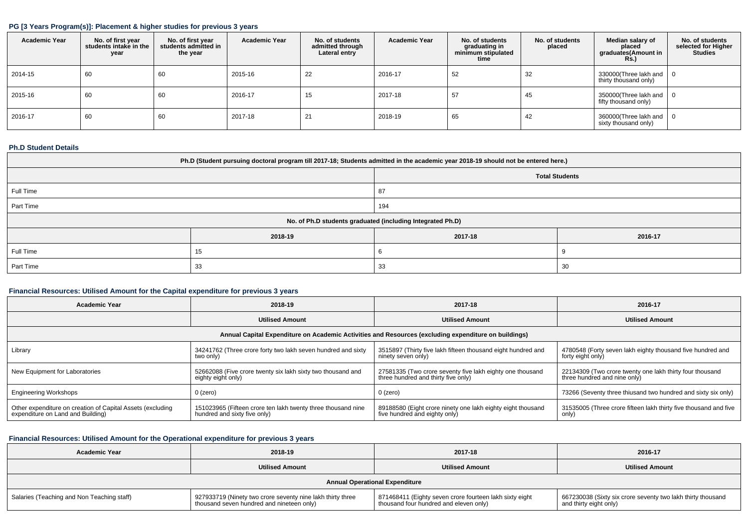#### **PG [3 Years Program(s)]: Placement & higher studies for previous 3 years**

| <b>Academic Year</b> | No. of first year<br>students intake in the<br>year | No. of first year<br>students admitted in<br>the year | <b>Academic Year</b> | No. of students<br>admitted through<br>Lateral entry | <b>Academic Year</b> | No. of students<br>graduating in<br>minimum stipulated<br>time | No. of students<br>placed | Median salary of<br>placed<br>graduates(Amount in<br>Rs.) | No. of students<br>selected for Higher<br><b>Studies</b> |
|----------------------|-----------------------------------------------------|-------------------------------------------------------|----------------------|------------------------------------------------------|----------------------|----------------------------------------------------------------|---------------------------|-----------------------------------------------------------|----------------------------------------------------------|
| 2014-15              | 60                                                  | 60                                                    | 2015-16              | 22                                                   | 2016-17              | 52                                                             | 32                        | 330000(Three lakh and<br>thirty thousand only)            | - 0                                                      |
| 2015-16              | 60                                                  | 60                                                    | 2016-17              | 15                                                   | 2017-18              | 57                                                             | 45                        | 350000(Three lakh and<br>fifty thousand only)             | $\cdot$ 0                                                |
| 2016-17              | 60                                                  | 60                                                    | 2017-18              | 21                                                   | 2018-19              | 65                                                             | 42                        | 360000(Three lakh and $\vert$ 0<br>sixty thousand only)   |                                                          |

### **Ph.D Student Details**

| Ph.D (Student pursuing doctoral program till 2017-18; Students admitted in the academic year 2018-19 should not be entered here.) |                  |                                                            |         |  |  |  |  |
|-----------------------------------------------------------------------------------------------------------------------------------|------------------|------------------------------------------------------------|---------|--|--|--|--|
| <b>Total Students</b>                                                                                                             |                  |                                                            |         |  |  |  |  |
| Full Time<br>87                                                                                                                   |                  |                                                            |         |  |  |  |  |
| Part Time<br>194                                                                                                                  |                  |                                                            |         |  |  |  |  |
|                                                                                                                                   |                  | No. of Ph.D students graduated (including Integrated Ph.D) |         |  |  |  |  |
|                                                                                                                                   | 2018-19          | 2017-18                                                    | 2016-17 |  |  |  |  |
| Full Time                                                                                                                         |                  | n                                                          |         |  |  |  |  |
| Part Time                                                                                                                         | -33<br>-30<br>33 |                                                            |         |  |  |  |  |

### **Financial Resources: Utilised Amount for the Capital expenditure for previous 3 years**

| <b>Academic Year</b>                                                                            | 2018-19                                                                                      | 2017-18                                                                                          | 2016-17                                                                                  |  |
|-------------------------------------------------------------------------------------------------|----------------------------------------------------------------------------------------------|--------------------------------------------------------------------------------------------------|------------------------------------------------------------------------------------------|--|
|                                                                                                 | <b>Utilised Amount</b>                                                                       | <b>Utilised Amount</b>                                                                           | <b>Utilised Amount</b>                                                                   |  |
|                                                                                                 |                                                                                              |                                                                                                  |                                                                                          |  |
| Library                                                                                         | 34241762 (Three crore forty two lakh seven hundred and sixty<br>two only)                    | 3515897 (Thirty five lakh fifteen thousand eight hundred and<br>ninety seven only)               | 4780548 (Forty seven lakh eighty thousand five hundred and<br>forty eight only)          |  |
| New Equipment for Laboratories                                                                  | 52662088 (Five crore twenty six lakh sixty two thousand and<br>eighty eight only)            | 27581335 (Two crore seventy five lakh eighty one thousand<br>three hundred and thirty five only) | 22134309 (Two crore twenty one lakh thirty four thousand<br>three hundred and nine only) |  |
| <b>Engineering Workshops</b>                                                                    | 0 (zero)                                                                                     | $0$ (zero)                                                                                       | 73266 (Seventy three thiusand two hundred and sixty six only)                            |  |
| Other expenditure on creation of Capital Assets (excluding<br>expenditure on Land and Building) | 151023965 (Fifteen crore ten lakh twenty three thousand nine<br>hundred and sixty five only) | 89188580 (Eight crore ninety one lakh eighty eight thousand<br>five hundred and eighty only)     | 31535005 (Three crore fifteen lakh thirty five thousand and five<br>only)                |  |

### **Financial Resources: Utilised Amount for the Operational expenditure for previous 3 years**

| <b>Academic Year</b>                       | 2018-19                                                                                                 | 2017-18                                                                                           | 2016-17                                                                               |  |  |  |  |
|--------------------------------------------|---------------------------------------------------------------------------------------------------------|---------------------------------------------------------------------------------------------------|---------------------------------------------------------------------------------------|--|--|--|--|
|                                            | <b>Utilised Amount</b>                                                                                  | <b>Utilised Amount</b>                                                                            | <b>Utilised Amount</b>                                                                |  |  |  |  |
|                                            | <b>Annual Operational Expenditure</b>                                                                   |                                                                                                   |                                                                                       |  |  |  |  |
| Salaries (Teaching and Non Teaching staff) | 927933719 (Ninety two crore seventy nine lakh thirty three<br>thousand seven hundred and nineteen only) | 871468411 (Eighty seven crore fourteen lakh sixty eight<br>thousand four hundred and eleven only) | 667230038 (Sixty six crore seventy two lakh thirty thousand<br>and thirty eight only) |  |  |  |  |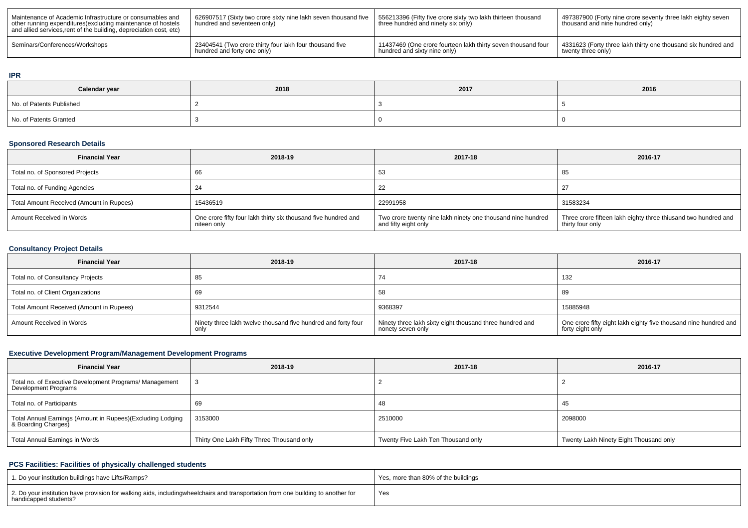| Maintenance of Academic Infrastructure or consumables and<br>other running expenditures (excluding maintenance of hostels<br>and allied services, rent of the building, depreciation cost, etc) | 626907517 (Sixty two crore sixty nine lakh seven thousand five<br>I hundred and seventeen only) | 556213396 (Fifty five crore sixty two lakh thirteen thousand<br>three hundred and ninety six only) | 497387900 (Forty nine crore seventy three lakh eighty seven<br>thousand and nine hundred only) |
|-------------------------------------------------------------------------------------------------------------------------------------------------------------------------------------------------|-------------------------------------------------------------------------------------------------|----------------------------------------------------------------------------------------------------|------------------------------------------------------------------------------------------------|
| Seminars/Conferences/Workshops                                                                                                                                                                  | 23404541 (Two crore thirty four lakh four thousand five                                         | 11437469 (One crore fourteen lakh thirty seven thousand four                                       | 4331623 (Forty three lakh thirty one thousand six hundred and                                  |
|                                                                                                                                                                                                 | hundred and forty one only)                                                                     | I hundred and sixty nine only)                                                                     | twenty three only)                                                                             |

#### **IPR**

| Calendar year            | 2018 | 2017 | 2016 |  |
|--------------------------|------|------|------|--|
| No. of Patents Published |      |      |      |  |
| No. of Patents Granted   |      |      |      |  |

### **Sponsored Research Details**

| <b>Financial Year</b>                    | 2018-19                                                                       | 2017-18                                                                             | 2016-17                                                                            |
|------------------------------------------|-------------------------------------------------------------------------------|-------------------------------------------------------------------------------------|------------------------------------------------------------------------------------|
| Total no. of Sponsored Projects          |                                                                               | 53                                                                                  | 85                                                                                 |
| Total no. of Funding Agencies            |                                                                               | 22                                                                                  |                                                                                    |
| Total Amount Received (Amount in Rupees) | 15436519                                                                      | 22991958                                                                            | 31583234                                                                           |
| Amount Received in Words                 | One crore fifty four lakh thirty six thousand five hundred and<br>niteen only | Two crore twenty nine lakh ninety one thousand nine hundred<br>and fifty eight only | Three crore fifteen lakh eighty three thiusand two hundred and<br>thirty four only |

### **Consultancy Project Details**

| <b>Financial Year</b>                    | 2018-19                                                               | 2017-18                                                                       | 2016-17                                                                              |
|------------------------------------------|-----------------------------------------------------------------------|-------------------------------------------------------------------------------|--------------------------------------------------------------------------------------|
| Total no. of Consultancy Projects        | ဝ၁                                                                    | 74                                                                            | 132                                                                                  |
| Total no. of Client Organizations        |                                                                       | 58                                                                            | 89                                                                                   |
| Total Amount Received (Amount in Rupees) | 9312544                                                               | 9368397                                                                       | 15885948                                                                             |
| Amount Received in Words                 | Ninety three lakh twelve thousand five hundred and forty four<br>only | Ninety three lakh sixty eight thousand three hundred and<br>nonety seven only | One crore fifty eight lakh eighty five thousand nine hundred and<br>forty eight only |

### **Executive Development Program/Management Development Programs**

| <b>Financial Year</b>                                                            | 2018-19                                   | 2017-18                            | 2016-17                                |
|----------------------------------------------------------------------------------|-------------------------------------------|------------------------------------|----------------------------------------|
| Total no. of Executive Development Programs/ Management<br>Development Programs  |                                           |                                    |                                        |
| Total no. of Participants                                                        |                                           | 48                                 | -45                                    |
| Total Annual Earnings (Amount in Rupees)(Excluding Lodging<br>& Boarding Charges | 3153000                                   | 2510000                            | 2098000                                |
| Total Annual Earnings in Words                                                   | Thirty One Lakh Fifty Three Thousand only | Twenty Five Lakh Ten Thousand only | Twenty Lakh Ninety Eight Thousand only |

### **PCS Facilities: Facilities of physically challenged students**

| 1. Do your institution buildings have Lifts/Ramps?                                                                                                        | Yes, more than 80% of the buildings |
|-----------------------------------------------------------------------------------------------------------------------------------------------------------|-------------------------------------|
| 2. Do your institution have provision for walking aids, includingwheelchairs and transportation from one building to another for<br>handicapped students? | Yes                                 |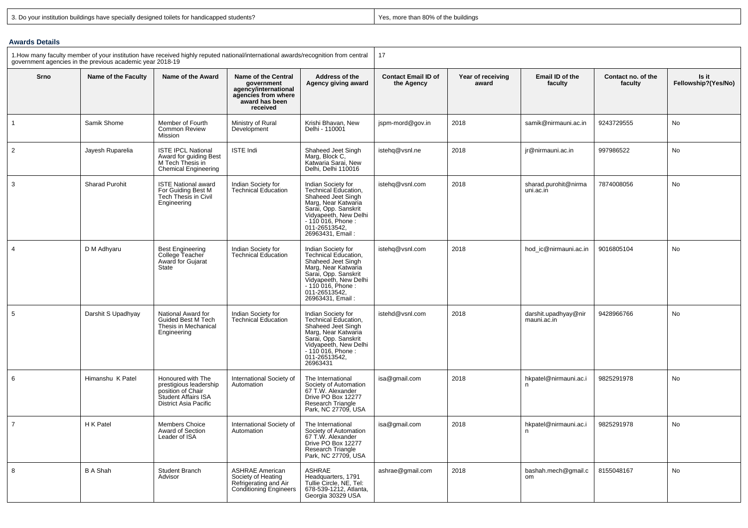| 3. Do your institution buildings have specially designed toilets for handicapped students? |
|--------------------------------------------------------------------------------------------|
|--------------------------------------------------------------------------------------------|

Yes, more than 80% of the buildings

### **Awards Details**

| 1. How many faculty member of your institution have received highly reputed national/international awards/recognition from central<br>government agencies in the previous academic year 2018-19 |                       | 17                                                                                                                      |                                                                                                                       |                                                                                                                                                                                                            |                                          |                            |                                     |                               |                              |
|-------------------------------------------------------------------------------------------------------------------------------------------------------------------------------------------------|-----------------------|-------------------------------------------------------------------------------------------------------------------------|-----------------------------------------------------------------------------------------------------------------------|------------------------------------------------------------------------------------------------------------------------------------------------------------------------------------------------------------|------------------------------------------|----------------------------|-------------------------------------|-------------------------------|------------------------------|
| Srno                                                                                                                                                                                            | Name of the Faculty   | Name of the Award                                                                                                       | <b>Name of the Central</b><br>government<br>agency/international<br>agencies from where<br>award has been<br>received | Address of the<br>Agency giving award                                                                                                                                                                      | <b>Contact Email ID of</b><br>the Agency | Year of receiving<br>award | Email ID of the<br>faculty          | Contact no. of the<br>faculty | Is it<br>Fellowship?(Yes/No) |
| $\mathbf{1}$                                                                                                                                                                                    | Samik Shome           | Member of Fourth<br>Common Review<br>Mission                                                                            | Ministry of Rural<br>Development                                                                                      | Krishi Bhavan, New<br>Delhi - 110001                                                                                                                                                                       | jspm-mord@gov.in                         | 2018                       | samik@nirmauni.ac.in                | 9243729555                    | No                           |
| 2                                                                                                                                                                                               | Jayesh Ruparelia      | <b>ISTE IPCL National</b><br>Award for quiding Best<br>M Tech Thesis in<br><b>Chemical Engineering</b>                  | <b>ISTE Indi</b>                                                                                                      | Shaheed Jeet Singh<br>Marg, Block C,<br>Katwaria Sarai, New<br>Delhi, Delhi 110016                                                                                                                         | istehq@vsnl.ne                           | 2018                       | jr@nirmauni.ac.in                   | 997986522                     | No                           |
| 3                                                                                                                                                                                               | <b>Sharad Purohit</b> | <b>ISTE National award</b><br>For Guiding Best M<br>Tech Thesis in Civil<br>Engineering                                 | Indian Society for<br><b>Technical Education</b>                                                                      | Indian Society for<br><b>Technical Education.</b><br>Shaheed Jeet Singh<br>Marg, Near Katwaria<br>Sarai, Opp. Sanskrit<br>Vidyapeeth, New Delhi<br>$-110016$ , Phone:<br>011-26513542,<br>26963431, Email: | istehq@vsnl.com                          | 2018                       | sharad.purohit@nirma<br>uni.ac.in   | 7874008056                    | No                           |
| $\overline{4}$                                                                                                                                                                                  | D M Adhyaru           | <b>Best Engineering</b><br>College Teacher<br>Award for Gujarat<br><b>State</b>                                         | Indian Society for<br><b>Technical Education</b>                                                                      | Indian Society for<br>Technical Education,<br>Shaheed Jeet Singh<br>Marg, Near Katwaria<br>Sarai, Opp. Sanskrit<br>Vidyapeeth, New Delhi<br>- 110 016, Phone :<br>011-26513542,<br>26963431, Email:        | istehq@vsnl.com                          | 2018                       | hod_ic@nirmauni.ac.in               | 9016805104                    | No                           |
| 5                                                                                                                                                                                               | Darshit S Upadhyay    | National Award for<br>Guided Best M Tech<br>Thesis in Mechanical<br>Engineering                                         | Indian Society for<br><b>Technical Education</b>                                                                      | Indian Society for<br>Technical Education,<br>Shaheed Jeet Singh<br>Marg, Near Katwaria<br>Sarai, Opp. Sanskrit<br>Vidyapeeth, New Delhi<br>$-110016$ , Phone:<br>011-26513542,<br>26963431                | istehd@vsnl.com                          | 2018                       | darshit.upadhyay@nir<br>mauni.ac.in | 9428966766                    | No                           |
| 6                                                                                                                                                                                               | Himanshu K Patel      | Honoured with The<br>prestigious leadership<br>position of Chair<br>Student Affairs ISA<br><b>District Asia Pacific</b> | International Society of<br>Automation                                                                                | The International<br>Society of Automation<br>67 T.W. Alexander<br>Drive PO Box 12277<br>Research Triangle<br>Park, NC 27709, USA                                                                          | isa@gmail.com                            | 2018                       | hkpatel@nirmauni.ac.i<br>n          | 9825291978                    | No                           |
| $\overline{7}$                                                                                                                                                                                  | H K Patel             | Members Choice<br>Award of Section<br>Leader of ISA                                                                     | International Society of<br>Automation                                                                                | The International<br>Society of Automation<br>67 T.W. Alexander<br>Drive PO Box 12277<br>Research Triangle<br>Park, NC 27709, USA                                                                          | isa@gmail.com                            | 2018                       | hkpatel@nirmauni.ac.i<br>n          | 9825291978                    | No                           |
| 8                                                                                                                                                                                               | <b>B A Shah</b>       | Student Branch<br>Advisor                                                                                               | <b>ASHRAE American</b><br>Society of Heating<br>Refrigerating and Air<br><b>Conditioning Engineers</b>                | <b>ASHRAE</b><br>Headquarters, 1791<br>Tullie Circle, NE, Tel:<br>678-539-1212, Atlanta,<br>Georgia 30329 USA                                                                                              | ashrae@gmail.com                         | 2018                       | bashah.mech@qmail.c<br><b>om</b>    | 8155048167                    | No                           |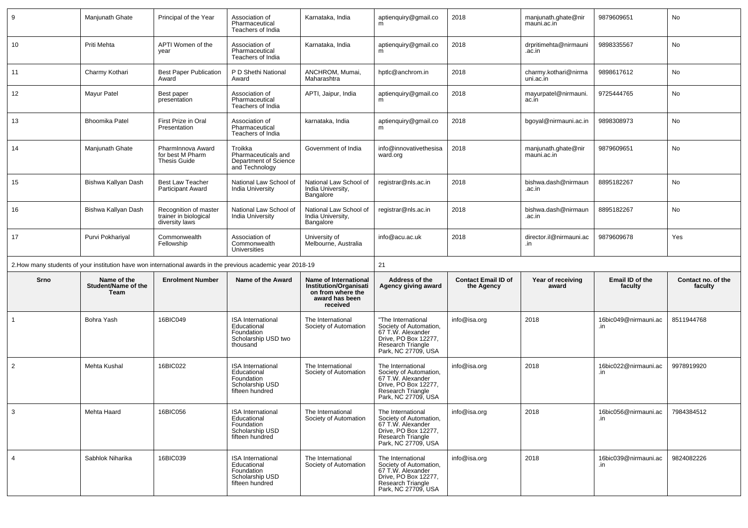| 9              | Manjunath Ghate                            | Principal of the Year                                            | Association of<br>Pharmaceutical<br>Teachers of India                                                        | Karnataka, India                                                                                          | aptienquiry@gmail.co<br>m                                                                                                             | 2018                                     | manjunath.ghate@nir<br>mauni.ac.in | 9879609651                  | No                            |
|----------------|--------------------------------------------|------------------------------------------------------------------|--------------------------------------------------------------------------------------------------------------|-----------------------------------------------------------------------------------------------------------|---------------------------------------------------------------------------------------------------------------------------------------|------------------------------------------|------------------------------------|-----------------------------|-------------------------------|
| 10             | Priti Mehta                                | APTI Women of the<br>year                                        | Association of<br>Pharmaceutical<br>Teachers of India                                                        | Karnataka, India                                                                                          | aptienquiry@gmail.co<br>m                                                                                                             | 2018                                     | drpritimehta@nirmauni<br>.ac.in    | 9898335567                  | No                            |
| 11             | Charmy Kothari                             | <b>Best Paper Publication</b><br>Award                           | P D Shethi National<br>Award                                                                                 | ANCHROM, Mumai,<br>Maharashtra                                                                            | hptlc@anchrom.in                                                                                                                      | 2018                                     | charmy.kothari@nirma<br>uni.ac.in  | 9898617612                  | No                            |
| 12             | Mayur Patel                                | Best paper<br>presentation                                       | Association of<br>Pharmaceutical<br>Teachers of India                                                        | APTI, Jaipur, India                                                                                       | aptienquiry@gmail.co<br>m                                                                                                             | 2018                                     | mayurpatel@nirmauni.<br>ac.in      | 9725444765                  | No                            |
| 13             | <b>Bhoomika Patel</b>                      | First Prize in Oral<br>Presentation                              | Association of<br>Pharmaceutical<br>Teachers of India                                                        | karnataka, India                                                                                          | aptienquiry@gmail.co                                                                                                                  | 2018                                     | bgoyal@nirmauni.ac.in              | 9898308973                  | No                            |
| 14             | Manjunath Ghate                            | PharmInnova Award<br>for best M Pharm<br><b>Thesis Guide</b>     | Troikka<br>Pharmaceuticals and<br>Department of Science<br>and Technology                                    | Government of India                                                                                       | info@innovativethesisa<br>ward.org                                                                                                    | 2018                                     | manjunath.ghate@nir<br>mauni.ac.in | 9879609651                  | No                            |
| 15             | Bishwa Kallyan Dash                        | <b>Best Law Teacher</b><br>Participant Award                     | National Law School of<br>India University                                                                   | National Law School of<br>India University,<br>Bangalore                                                  | registrar@nls.ac.in                                                                                                                   | 2018                                     | bishwa.dash@nirmaun<br>.ac.in      | 8895182267                  | No                            |
| 16             | Bishwa Kallyan Dash                        | Recognition of master<br>trainer in biological<br>diversity laws | National Law School of<br><b>India University</b>                                                            | National Law School of<br>India University,<br>Bangalore                                                  | registrar@nls.ac.in                                                                                                                   | 2018                                     | bishwa.dash@nirmaun<br>.ac.in      | 8895182267                  | No                            |
| 17             | Purvi Pokhariyal                           | Commonwealth<br>Fellowship                                       | Association of<br>Commonwealth<br><b>Universities</b>                                                        | University of<br>Melbourne, Australia                                                                     | info@acu.ac.uk                                                                                                                        | 2018                                     | director.il@nirmauni.ac<br>.in     | 9879609678                  | Yes                           |
|                |                                            |                                                                  |                                                                                                              |                                                                                                           |                                                                                                                                       |                                          |                                    |                             |                               |
|                |                                            |                                                                  | 2. How many students of your institution have won international awards in the previous academic year 2018-19 |                                                                                                           | 21                                                                                                                                    |                                          |                                    |                             |                               |
| Srno           | Name of the<br>Student/Name of the<br>Team | <b>Enrolment Number</b>                                          | Name of the Award                                                                                            | Name of International<br><b>Institution/Organisati</b><br>on from where the<br>award has been<br>received | Address of the<br>Agency giving award                                                                                                 | <b>Contact Email ID of</b><br>the Agency | Year of receiving<br>award         | Email ID of the<br>faculty  | Contact no. of the<br>faculty |
|                | Bohra Yash                                 | 16BIC049                                                         | <b>ISA</b> International<br>Educational<br>Foundation<br>Scholarship USD two<br>thousand                     | The International<br>Society of Automation                                                                | "The International<br>Society of Automation,<br>67 T.W. Alexander<br>Drive, PO Box 12277,<br>Research Triangle<br>Park, NC 27709, USA | info@isa.org                             | 2018                               | 16bic049@nirmauni.ac<br>.in | 8511944768                    |
| $\overline{2}$ | Mehta Kushal                               | 16BIC022                                                         | <b>ISA</b> International<br>Educational<br>Foundation<br>Scholarship USD<br>fifteen hundred                  | The International<br>Society of Automation                                                                | The International<br>Society of Automation,<br>67 T.W. Alexander<br>Drive, PO Box 12277,<br>Research Triangle<br>Park, NC 27709, USA  | info@isa.org                             | 2018                               | 16bic022@nirmauni.ac<br>.in | 9978919920                    |
| $\mathbf{3}$   | Mehta Haard                                | 16BIC056                                                         | <b>ISA</b> International<br>Educational<br>Foundation<br>Scholarship USD<br>fifteen hundred                  | The International<br>Society of Automation                                                                | The International<br>Society of Automation,<br>67 T.W. Alexander<br>Drive, PO Box 12277,<br>Research Triangle<br>Park, NC 27709, USA  | info@isa.org                             | 2018                               | 16bic056@nirmauni.ac<br>.in | 7984384512                    |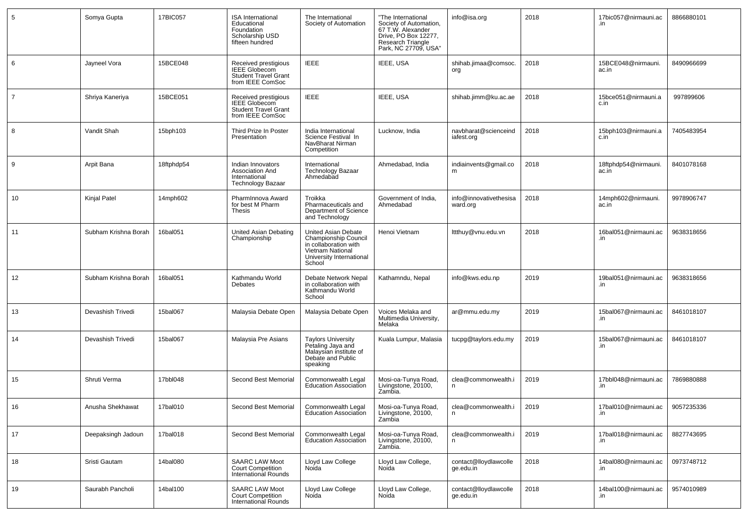| 5              | Somya Gupta          | 17BIC057   | <b>ISA International</b><br>Educational<br>Foundation<br>Scholarship USD<br>fifteen hundred     | The International<br>Society of Automation                                                                                     | "The International<br>Society of Automation,<br>67 T.W. Alexander<br>Drive, PO Box 12277,<br>Research Triangle<br>Park, NC 27709, USA" | info@isa.org                       | 2018 | 17bic057@nirmauni.ac          | 8866880101 |
|----------------|----------------------|------------|-------------------------------------------------------------------------------------------------|--------------------------------------------------------------------------------------------------------------------------------|----------------------------------------------------------------------------------------------------------------------------------------|------------------------------------|------|-------------------------------|------------|
| 6              | Jayneel Vora         | 15BCE048   | Received prestigious<br><b>IEEE Globecom</b><br><b>Student Travel Grant</b><br>from IEEE ComSoc | <b>IEEE</b>                                                                                                                    | IEEE, USA                                                                                                                              | shihab.jimaa@comsoc.<br>org        | 2018 | 15BCE048@nirmauni.<br>ac.in   | 8490966699 |
| $\overline{7}$ | Shriya Kaneriya      | 15BCE051   | Received prestigious<br><b>IEEE Globecom</b><br><b>Student Travel Grant</b><br>from IEEE ComSoc | <b>IEEE</b>                                                                                                                    | IEEE, USA                                                                                                                              | shihab.jimm@ku.ac.ae               | 2018 | 15bce051@nirmauni.a<br>c.in   | 997899606  |
| 8              | Vandit Shah          | 15bph103   | Third Prize In Poster<br>Presentation                                                           | India International<br>Science Festival In<br>NavBharat Nirman<br>Competition                                                  | Lucknow, India                                                                                                                         | navbharat@scienceind<br>iafest.org | 2018 | 15bph103@nirmauni.a<br>c.in   | 7405483954 |
| 9              | Arpit Bana           | 18ftphdp54 | Indian Innovators<br>Association And<br>International<br>Technology Bazaar                      | International<br><b>Technology Bazaar</b><br>Ahmedabad                                                                         | Ahmedabad, India                                                                                                                       | indiainvents@gmail.co<br>m         | 2018 | 18ftphdp54@nirmauni.<br>ac.in | 8401078168 |
| 10             | Kinjal Patel         | 14mph602   | PharmInnova Award<br>for best M Pharm<br>Thesis                                                 | Troikka<br>Pharmaceuticals and<br>Department of Science<br>and Technology                                                      | Government of India,<br>Ahmedabad                                                                                                      | info@innovativethesisa<br>ward.org | 2018 | 14mph602@nirmauni.<br>ac.in   | 9978906747 |
| 11             | Subham Krishna Borah | 16bal051   | United Asian Debating<br>Championship                                                           | United Asian Debate<br>Championship Council<br>in collaboration with<br>Vietnam National<br>University International<br>School | Henoi Vietnam                                                                                                                          | lttthuy@vnu.edu.vn                 | 2018 | 16bal051@nirmauni.ac<br>.in   | 9638318656 |
| 12             | Subham Krishna Borah | 16bal051   | Kathmandu World<br>Debates                                                                      | Debate Network Nepal<br>in collaboration with<br>Kathmandu World<br>School                                                     | Kathamndu, Nepal                                                                                                                       | info@kws.edu.np                    | 2019 | 19bal051@nirmauni.ac<br>.in   | 9638318656 |
| 13             | Devashish Trivedi    | 15bal067   | Malaysia Debate Open                                                                            | Malaysia Debate Open                                                                                                           | Voices Melaka and<br>Multimedia University,<br>Melaka                                                                                  | ar@mmu.edu.my                      | 2019 | 15bal067@nirmauni.ac<br>.in   | 8461018107 |
| 14             | Devashish Trivedi    | 15bal067   | Malaysia Pre Asians                                                                             | Taylors University<br>Petaling Jaya and<br>Malaysian institute of<br>Debate and Public<br>speaking                             | Kuala Lumpur, Malasia                                                                                                                  | tucpg@taylors.edu.my               | 2019 | 15bal067@nirmauni.ac<br>.in   | 8461018107 |
| 15             | Shruti Verma         | 17bbl048   | Second Best Memorial                                                                            | Commonwealth Legal<br><b>Education Association</b>                                                                             | Mosi-oa-Tunya Road,<br>Livingstone, 20100,<br>Zambia.                                                                                  | clea@commonwealth.i<br>n.          | 2019 | 17bbl048@nirmauni.ac<br>.in   | 7869880888 |
| 16             | Anusha Shekhawat     | 17bal010   | Second Best Memorial                                                                            | Commonwealth Legal<br><b>Education Association</b>                                                                             | Mosi-oa-Tunya Road,<br>Livingstone, 20100,<br>Zambia                                                                                   | clea@commonwealth.i<br>n           | 2019 | 17bal010@nirmauni.ac<br>.in   | 9057235336 |
| 17             | Deepaksingh Jadoun   | 17bal018   | Second Best Memorial                                                                            | Commonwealth Legal<br>Education Association                                                                                    | Mosi-oa-Tunya Road,<br>Livingstone, 20100,<br>Zambia.                                                                                  | clea@commonwealth.i<br>n           | 2019 | 17bal018@nirmauni.ac<br>.in   | 8827743695 |
| 18             | Sristi Gautam        | 14bal080   | <b>SAARC LAW Moot</b><br><b>Court Competition</b><br>International Rounds                       | Lloyd Law College<br>Noida                                                                                                     | Lloyd Law College,<br>Noida                                                                                                            | contact@lloydlawcolle<br>ge.edu.in | 2018 | 14bal080@nirmauni.ac<br>.in   | 0973748712 |
| 19             | Saurabh Pancholi     | 14bal100   | <b>SAARC LAW Moot</b><br>Court Competition<br>International Rounds                              | Lloyd Law College<br>Noida                                                                                                     | Lloyd Law College,<br>Noida                                                                                                            | contact@lloydlawcolle<br>ge.edu.in | 2018 | 14bal100@nirmauni.ac<br>.in   | 9574010989 |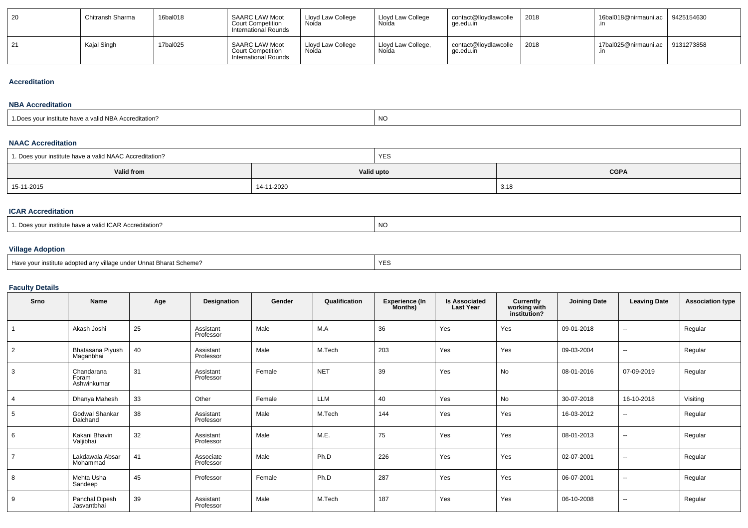| 20 | Chitransh Sharma | 16bal018 | <b>SAARC LAW Moot</b><br><b>Court Competition</b><br>International Rounds | Lloyd Law College<br>Noída | Lloyd Law College<br>Noida  | contact@lloydlawcolle<br>qe.edu.in | 2018 | 16bal018@nirmauni.ac   9425154630 |  |
|----|------------------|----------|---------------------------------------------------------------------------|----------------------------|-----------------------------|------------------------------------|------|-----------------------------------|--|
| 21 | Kaial Singh      | 17bal025 | <b>SAARC LAW Moot</b><br><b>Court Competition</b><br>International Rounds | Lloyd Law College<br>Noida | Lloyd Law College,<br>Noida | contact@lloydlawcolle<br>qe.edu.in | 2018 | 17bal025@nirmauni.ac   9131273858 |  |

### **Accreditation**

#### **NBA Accreditation**

| institute have a valid NBA Accreditation?<br><sup>1</sup> Does vou. | NO |
|---------------------------------------------------------------------|----|
|---------------------------------------------------------------------|----|

### **NAAC Accreditation**

| 1. Does your institute have a valid NAAC Accreditation? |            | <b>YES</b>  |      |  |  |  |
|---------------------------------------------------------|------------|-------------|------|--|--|--|
| Valid from                                              | Valid upto | <b>CGPA</b> |      |  |  |  |
| 15-11-2015                                              | 14-11-2020 |             | 3.18 |  |  |  |

### **ICAR Accreditation**

### **Village Adoption**

| Have vour institute adopted anv village under Unnat Bharat Scheme? | YES |
|--------------------------------------------------------------------|-----|
|--------------------------------------------------------------------|-----|

# **Faculty Details**

| Srno           | Name                               | Age | Designation            | Gender | Qualification | <b>Experience (In</b><br>Months) | <b>Is Associated</b><br><b>Last Year</b> | Currently<br>working with<br>institution? | <b>Joining Date</b> | <b>Leaving Date</b>      | <b>Association type</b> |
|----------------|------------------------------------|-----|------------------------|--------|---------------|----------------------------------|------------------------------------------|-------------------------------------------|---------------------|--------------------------|-------------------------|
|                | Akash Joshi                        | 25  | Assistant<br>Professor | Male   | M.A           | 36                               | Yes                                      | Yes                                       | 09-01-2018          | $\overline{\phantom{a}}$ | Regular                 |
| $\overline{2}$ | Bhatasana Piyush<br>Maganbhai      | 40  | Assistant<br>Professor | Male   | M.Tech        | 203                              | Yes                                      | Yes                                       | 09-03-2004          | $\sim$                   | Regular                 |
| 3              | Chandarana<br>Foram<br>Ashwinkumar | 31  | Assistant<br>Professor | Female | <b>NET</b>    | 39                               | Yes                                      | No                                        | 08-01-2016          | 07-09-2019               | Regular                 |
| $\overline{4}$ | Dhanya Mahesh                      | 33  | Other                  | Female | LLM           | 40                               | Yes                                      | No                                        | 30-07-2018          | 16-10-2018               | Visiting                |
| 5              | Godwal Shankar<br>Dalchand         | 38  | Assistant<br>Professor | Male   | M.Tech        | 144                              | Yes                                      | Yes                                       | 16-03-2012          | $\overline{\phantom{a}}$ | Regular                 |
| 6              | Kakani Bhavin<br>Valjibhai         | 32  | Assistant<br>Professor | Male   | M.E.          | 75                               | Yes                                      | Yes                                       | 08-01-2013          | $\overline{\phantom{a}}$ | Regular                 |
| $\overline{7}$ | Lakdawala Absar<br>Mohammad        | 41  | Associate<br>Professor | Male   | Ph.D          | 226                              | Yes                                      | Yes                                       | 02-07-2001          | $\overline{\phantom{a}}$ | Regular                 |
| 8              | Mehta Usha<br>Sandeep              | 45  | Professor              | Female | Ph.D          | 287                              | Yes                                      | Yes                                       | 06-07-2001          | $\sim$                   | Regular                 |
| 9              | Panchal Dipesh<br>Jasvantbhai      | 39  | Assistant<br>Professor | Male   | M.Tech        | 187                              | Yes                                      | Yes                                       | 06-10-2008          | $\overline{\phantom{a}}$ | Regular                 |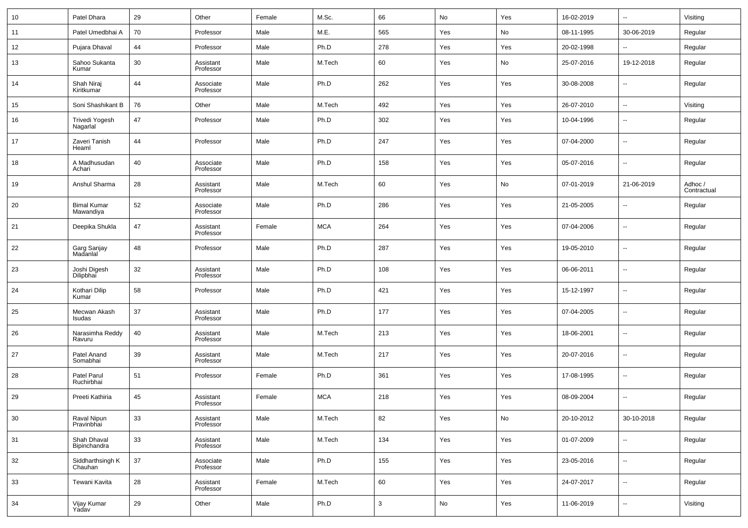| 10 | Patel Dhara                     | 29 | Other                  | Female | M.Sc.      | 66           | No  | Yes | 16-02-2019 | --                       | Visiting               |
|----|---------------------------------|----|------------------------|--------|------------|--------------|-----|-----|------------|--------------------------|------------------------|
| 11 | Patel Umedbhai A                | 70 | Professor              | Male   | M.E.       | 565          | Yes | No  | 08-11-1995 | 30-06-2019               | Regular                |
| 12 | Pujara Dhaval                   | 44 | Professor              | Male   | Ph.D       | 278          | Yes | Yes | 20-02-1998 | --                       | Regular                |
| 13 | Sahoo Sukanta<br>Kumar          | 30 | Assistant<br>Professor | Male   | M.Tech     | 60           | Yes | No  | 25-07-2016 | 19-12-2018               | Regular                |
| 14 | Shah Niraj<br>Kiritkumar        | 44 | Associate<br>Professor | Male   | Ph.D       | 262          | Yes | Yes | 30-08-2008 | $\overline{\phantom{a}}$ | Regular                |
| 15 | Soni Shashikant B               | 76 | Other                  | Male   | M.Tech     | 492          | Yes | Yes | 26-07-2010 | $\overline{\phantom{a}}$ | Visiting               |
| 16 | Trivedi Yogesh<br>Nagarlal      | 47 | Professor              | Male   | Ph.D       | 302          | Yes | Yes | 10-04-1996 | $\overline{\phantom{a}}$ | Regular                |
| 17 | Zaveri Tanish<br>Heaml          | 44 | Professor              | Male   | Ph.D       | 247          | Yes | Yes | 07-04-2000 | $\overline{\phantom{a}}$ | Regular                |
| 18 | A Madhusudan<br>Achari          | 40 | Associate<br>Professor | Male   | Ph.D       | 158          | Yes | Yes | 05-07-2016 | $\overline{\phantom{a}}$ | Regular                |
| 19 | Anshul Sharma                   | 28 | Assistant<br>Professor | Male   | M.Tech     | 60           | Yes | No  | 07-01-2019 | 21-06-2019               | Adhoc /<br>Contractual |
| 20 | <b>Bimal Kumar</b><br>Mawandiya | 52 | Associate<br>Professor | Male   | Ph.D       | 286          | Yes | Yes | 21-05-2005 | $\overline{\phantom{a}}$ | Regular                |
| 21 | Deepika Shukla                  | 47 | Assistant<br>Professor | Female | <b>MCA</b> | 264          | Yes | Yes | 07-04-2006 | $\overline{\phantom{a}}$ | Regular                |
| 22 | Garg Sanjay<br>Madanlal         | 48 | Professor              | Male   | Ph.D       | 287          | Yes | Yes | 19-05-2010 | $\overline{\phantom{a}}$ | Regular                |
| 23 | Joshi Digesh<br>Dilipbhai       | 32 | Assistant<br>Professor | Male   | Ph.D       | 108          | Yes | Yes | 06-06-2011 | $\overline{\phantom{a}}$ | Regular                |
| 24 | Kothari Dilip<br>Kumar          | 58 | Professor              | Male   | Ph.D       | 421          | Yes | Yes | 15-12-1997 | $\overline{\phantom{a}}$ | Regular                |
| 25 | Mecwan Akash<br>Isudas          | 37 | Assistant<br>Professor | Male   | Ph.D       | 177          | Yes | Yes | 07-04-2005 | $\overline{\phantom{a}}$ | Regular                |
| 26 | Narasimha Reddy<br>Ravuru       | 40 | Assistant<br>Professor | Male   | M.Tech     | 213          | Yes | Yes | 18-06-2001 | $\overline{\phantom{a}}$ | Regular                |
| 27 | Patel Anand<br>Somabhai         | 39 | Assistant<br>Professor | Male   | M.Tech     | 217          | Yes | Yes | 20-07-2016 | $\overline{\phantom{a}}$ | Regular                |
| 28 | Patel Parul<br>Ruchirbhai       | 51 | Professor              | Female | Ph.D       | 361          | Yes | Yes | 17-08-1995 | $\overline{\phantom{a}}$ | Regular                |
| 29 | Preeti Kathiria                 | 45 | Assistant<br>Professor | Female | <b>MCA</b> | 218          | Yes | Yes | 08-09-2004 | $\overline{\phantom{a}}$ | Regular                |
| 30 | Raval Nipun<br>Pravinbhai       | 33 | Assistant<br>Professor | Male   | M.Tech     | 82           | Yes | No  | 20-10-2012 | 30-10-2018               | Regular                |
| 31 | Shah Dhaval<br>Bipinchandra     | 33 | Assistant<br>Professor | Male   | M.Tech     | 134          | Yes | Yes | 01-07-2009 | $\overline{\phantom{a}}$ | Regular                |
| 32 | Siddharthsingh K<br>Chauhan     | 37 | Associate<br>Professor | Male   | Ph.D       | 155          | Yes | Yes | 23-05-2016 | $\overline{\phantom{a}}$ | Regular                |
| 33 | Tewani Kavita                   | 28 | Assistant<br>Professor | Female | M.Tech     | 60           | Yes | Yes | 24-07-2017 | $\overline{\phantom{a}}$ | Regular                |
| 34 | Vijay Kumar<br>Yadav            | 29 | Other                  | Male   | Ph.D       | $\mathbf{3}$ | No  | Yes | 11-06-2019 | $\overline{\phantom{a}}$ | Visiting               |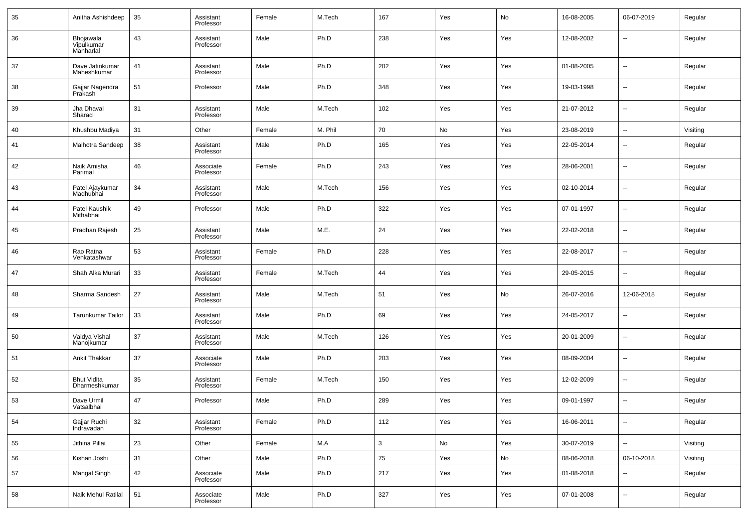| 35 | Anitha Ashishdeep                    | 35 | Assistant<br>Professor | Female | M.Tech  | 167          | Yes | No  | 16-08-2005 | 06-07-2019               | Regular  |
|----|--------------------------------------|----|------------------------|--------|---------|--------------|-----|-----|------------|--------------------------|----------|
| 36 | Bhojawala<br>Vipulkumar<br>Manharlal | 43 | Assistant<br>Professor | Male   | Ph.D    | 238          | Yes | Yes | 12-08-2002 | --                       | Regular  |
| 37 | Dave Jatinkumar<br>Maheshkumar       | 41 | Assistant<br>Professor | Male   | Ph.D    | 202          | Yes | Yes | 01-08-2005 | $\overline{a}$           | Regular  |
| 38 | Gajjar Nagendra<br>Prakash           | 51 | Professor              | Male   | Ph.D    | 348          | Yes | Yes | 19-03-1998 | --                       | Regular  |
| 39 | Jha Dhaval<br>Sharad                 | 31 | Assistant<br>Professor | Male   | M.Tech  | 102          | Yes | Yes | 21-07-2012 | $\overline{a}$           | Regular  |
| 40 | Khushbu Madiya                       | 31 | Other                  | Female | M. Phil | 70           | No  | Yes | 23-08-2019 | $\overline{\phantom{a}}$ | Visiting |
| 41 | Malhotra Sandeep                     | 38 | Assistant<br>Professor | Male   | Ph.D    | 165          | Yes | Yes | 22-05-2014 | --                       | Regular  |
| 42 | Naik Amisha<br>Parimal               | 46 | Associate<br>Professor | Female | Ph.D    | 243          | Yes | Yes | 28-06-2001 | --                       | Regular  |
| 43 | Patel Ajaykumar<br>Madhubhai         | 34 | Assistant<br>Professor | Male   | M.Tech  | 156          | Yes | Yes | 02-10-2014 | --                       | Regular  |
| 44 | Patel Kaushik<br>Mithabhai           | 49 | Professor              | Male   | Ph.D    | 322          | Yes | Yes | 07-01-1997 | --                       | Regular  |
| 45 | Pradhan Rajesh                       | 25 | Assistant<br>Professor | Male   | M.E.    | 24           | Yes | Yes | 22-02-2018 | --                       | Regular  |
| 46 | Rao Ratna<br>Venkatashwar            | 53 | Assistant<br>Professor | Female | Ph.D    | 228          | Yes | Yes | 22-08-2017 | --                       | Regular  |
| 47 | Shah Alka Murari                     | 33 | Assistant<br>Professor | Female | M.Tech  | 44           | Yes | Yes | 29-05-2015 | --                       | Regular  |
| 48 | Sharma Sandesh                       | 27 | Assistant<br>Professor | Male   | M.Tech  | 51           | Yes | No  | 26-07-2016 | 12-06-2018               | Regular  |
| 49 | Tarunkumar Tailor                    | 33 | Assistant<br>Professor | Male   | Ph.D    | 69           | Yes | Yes | 24-05-2017 | --                       | Regular  |
| 50 | Vaidya Vishal<br>Manojkumar          | 37 | Assistant<br>Professor | Male   | M.Tech  | 126          | Yes | Yes | 20-01-2009 | --                       | Regular  |
| 51 | Ankit Thakkar                        | 37 | Associate<br>Professor | Male   | Ph.D    | 203          | Yes | Yes | 08-09-2004 | --                       | Regular  |
| 52 | <b>Bhut Vidita</b><br>Dharmeshkumar  | 35 | Assistant<br>Professor | Female | M.Tech  | 150          | Yes | Yes | 12-02-2009 | --                       | Regular  |
| 53 | Dave Urmil<br>Vatsalbhai             | 47 | Professor              | Male   | Ph.D    | 289          | Yes | Yes | 09-01-1997 | --                       | Regular  |
| 54 | Gajjar Ruchi<br>Indravadan           | 32 | Assistant<br>Professor | Female | Ph.D    | 112          | Yes | Yes | 16-06-2011 | $\overline{\phantom{a}}$ | Regular  |
| 55 | Jithina Pillai                       | 23 | Other                  | Female | M.A     | $\mathbf{3}$ | No  | Yes | 30-07-2019 | $\overline{\phantom{a}}$ | Visiting |
| 56 | Kishan Joshi                         | 31 | Other                  | Male   | Ph.D    | 75           | Yes | No  | 08-06-2018 | 06-10-2018               | Visiting |
| 57 | Mangal Singh                         | 42 | Associate<br>Professor | Male   | Ph.D    | 217          | Yes | Yes | 01-08-2018 | --                       | Regular  |
| 58 | Naik Mehul Ratilal                   | 51 | Associate<br>Professor | Male   | Ph.D    | 327          | Yes | Yes | 07-01-2008 | н.                       | Regular  |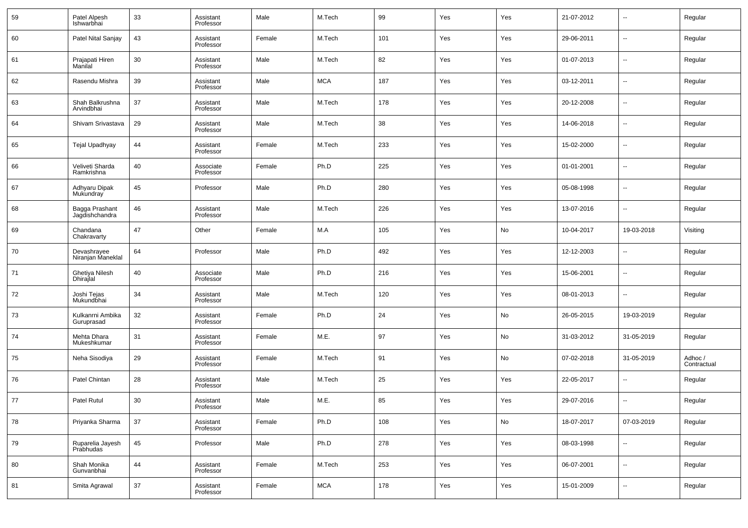| 59 | Patel Alpesh<br>Ishwarbhai        | 33 | Assistant<br>Professor | Male   | M.Tech     | 99  | Yes | Yes | 21-07-2012 | $\overline{\phantom{a}}$ | Regular                |
|----|-----------------------------------|----|------------------------|--------|------------|-----|-----|-----|------------|--------------------------|------------------------|
| 60 | Patel Nital Sanjay                | 43 | Assistant<br>Professor | Female | M.Tech     | 101 | Yes | Yes | 29-06-2011 | $\overline{\phantom{a}}$ | Regular                |
| 61 | Prajapati Hiren<br>Manilal        | 30 | Assistant<br>Professor | Male   | M.Tech     | 82  | Yes | Yes | 01-07-2013 | $\overline{\phantom{a}}$ | Regular                |
| 62 | Rasendu Mishra                    | 39 | Assistant<br>Professor | Male   | <b>MCA</b> | 187 | Yes | Yes | 03-12-2011 | $\overline{\phantom{a}}$ | Regular                |
| 63 | Shah Balkrushna<br>Arvindbhai     | 37 | Assistant<br>Professor | Male   | M.Tech     | 178 | Yes | Yes | 20-12-2008 | $\overline{\phantom{a}}$ | Regular                |
| 64 | Shivam Srivastava                 | 29 | Assistant<br>Professor | Male   | M.Tech     | 38  | Yes | Yes | 14-06-2018 | $\overline{\phantom{a}}$ | Regular                |
| 65 | Tejal Upadhyay                    | 44 | Assistant<br>Professor | Female | M.Tech     | 233 | Yes | Yes | 15-02-2000 | $\overline{\phantom{a}}$ | Regular                |
| 66 | Veliveti Sharda<br>Ramkrishna     | 40 | Associate<br>Professor | Female | Ph.D       | 225 | Yes | Yes | 01-01-2001 | $\overline{\phantom{a}}$ | Regular                |
| 67 | Adhyaru Dipak<br><b>Mukundray</b> | 45 | Professor              | Male   | Ph.D       | 280 | Yes | Yes | 05-08-1998 | $\overline{\phantom{a}}$ | Regular                |
| 68 | Bagga Prashant<br>Jagdishchandra  | 46 | Assistant<br>Professor | Male   | M.Tech     | 226 | Yes | Yes | 13-07-2016 | $\overline{\phantom{a}}$ | Regular                |
| 69 | Chandana<br>Chakravarty           | 47 | Other                  | Female | M.A        | 105 | Yes | No  | 10-04-2017 | 19-03-2018               | Visiting               |
| 70 | Devashrayee<br>Niranjan Maneklal  | 64 | Professor              | Male   | Ph.D       | 492 | Yes | Yes | 12-12-2003 | $\overline{\phantom{a}}$ | Regular                |
| 71 | Ghetiya Nilesh<br>Dhirajlal       | 40 | Associate<br>Professor | Male   | Ph.D       | 216 | Yes | Yes | 15-06-2001 | $\overline{\phantom{a}}$ | Regular                |
| 72 | Joshi Tejas<br>Mukundbhai         | 34 | Assistant<br>Professor | Male   | M.Tech     | 120 | Yes | Yes | 08-01-2013 | $\overline{\phantom{a}}$ | Regular                |
| 73 | Kulkanrni Ambika<br>Guruprasad    | 32 | Assistant<br>Professor | Female | Ph.D       | 24  | Yes | No  | 26-05-2015 | 19-03-2019               | Regular                |
| 74 | Mehta Dhara<br>Mukeshkumar        | 31 | Assistant<br>Professor | Female | M.E.       | 97  | Yes | No  | 31-03-2012 | 31-05-2019               | Regular                |
| 75 | Neha Sisodiya                     | 29 | Assistant<br>Professor | Female | M.Tech     | 91  | Yes | No  | 07-02-2018 | 31-05-2019               | Adhoc /<br>Contractual |
| 76 | Patel Chintan                     | 28 | Assistant<br>Professor | Male   | M.Tech     | 25  | Yes | Yes | 22-05-2017 | $\overline{\phantom{a}}$ | Regular                |
| 77 | Patel Rutul                       | 30 | Assistant<br>Professor | Male   | M.E.       | 85  | Yes | Yes | 29-07-2016 | $\overline{\phantom{a}}$ | Regular                |
| 78 | Priyanka Sharma                   | 37 | Assistant<br>Professor | Female | Ph.D       | 108 | Yes | No  | 18-07-2017 | 07-03-2019               | Regular                |
| 79 | Ruparelia Jayesh<br>Prabhudas     | 45 | Professor              | Male   | Ph.D       | 278 | Yes | Yes | 08-03-1998 | $\overline{\phantom{a}}$ | Regular                |
| 80 | Shah Monika<br>Gunvanbhai         | 44 | Assistant<br>Professor | Female | M.Tech     | 253 | Yes | Yes | 06-07-2001 | $\overline{\phantom{a}}$ | Regular                |
| 81 | Smita Agrawal                     | 37 | Assistant<br>Professor | Female | <b>MCA</b> | 178 | Yes | Yes | 15-01-2009 | $\overline{\phantom{a}}$ | Regular                |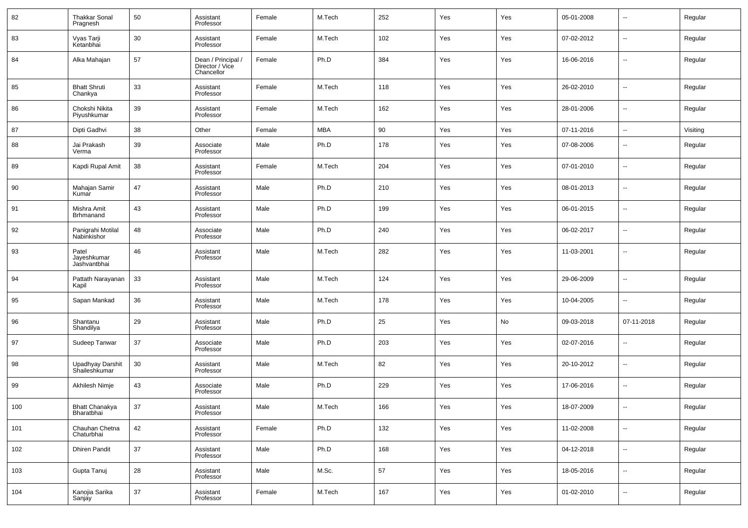| 82  | <b>Thakkar Sonal</b><br>Pragnesh     | 50     | Assistant<br>Professor                              | Female | M.Tech     | 252 | Yes | Yes | 05-01-2008 | --                       | Regular  |
|-----|--------------------------------------|--------|-----------------------------------------------------|--------|------------|-----|-----|-----|------------|--------------------------|----------|
| 83  | Vyas Tarji<br>Ketanbhai              | 30     | Assistant<br>Professor                              | Female | M.Tech     | 102 | Yes | Yes | 07-02-2012 | --                       | Regular  |
| 84  | Alka Mahajan                         | 57     | Dean / Principal /<br>Director / Vice<br>Chancellor | Female | Ph.D       | 384 | Yes | Yes | 16-06-2016 | --                       | Regular  |
| 85  | <b>Bhatt Shruti</b><br>Chankya       | 33     | Assistant<br>Professor                              | Female | M.Tech     | 118 | Yes | Yes | 26-02-2010 | ш,                       | Regular  |
| 86  | Chokshi Nikita<br>Piyushkumar        | 39     | Assistant<br>Professor                              | Female | M.Tech     | 162 | Yes | Yes | 28-01-2006 | ш,                       | Regular  |
| 87  | Dipti Gadhvi                         | 38     | Other                                               | Female | <b>MBA</b> | 90  | Yes | Yes | 07-11-2016 | $\overline{\phantom{a}}$ | Visiting |
| 88  | Jai Prakash<br>Verma                 | 39     | Associate<br>Professor                              | Male   | Ph.D       | 178 | Yes | Yes | 07-08-2006 | --                       | Regular  |
| 89  | Kapdi Rupal Amit                     | 38     | Assistant<br>Professor                              | Female | M.Tech     | 204 | Yes | Yes | 07-01-2010 | --                       | Regular  |
| 90  | Mahajan Samir<br>Kumar               | 47     | Assistant<br>Professor                              | Male   | Ph.D       | 210 | Yes | Yes | 08-01-2013 | --                       | Regular  |
| 91  | Mishra Amit<br><b>Brhmanand</b>      | 43     | Assistant<br>Professor                              | Male   | Ph.D       | 199 | Yes | Yes | 06-01-2015 | --                       | Regular  |
| 92  | Panigrahi Motilal<br>Nabinkishor     | 48     | Associate<br>Professor                              | Male   | Ph.D       | 240 | Yes | Yes | 06-02-2017 | --                       | Regular  |
| 93  | Patel<br>Jayeshkumar<br>Jashvantbhai | 46     | Assistant<br>Professor                              | Male   | M.Tech     | 282 | Yes | Yes | 11-03-2001 | --                       | Regular  |
| 94  | Pattath Narayanan<br>Kapil           | 33     | Assistant<br>Professor                              | Male   | M.Tech     | 124 | Yes | Yes | 29-06-2009 | $\overline{a}$           | Regular  |
| 95  | Sapan Mankad                         | 36     | Assistant<br>Professor                              | Male   | M.Tech     | 178 | Yes | Yes | 10-04-2005 | ш,                       | Regular  |
| 96  | Shantanu<br>Shandilya                | 29     | Assistant<br>Professor                              | Male   | Ph.D       | 25  | Yes | No  | 09-03-2018 | 07-11-2018               | Regular  |
| 97  | Sudeep Tanwar                        | 37     | Associate<br>Professor                              | Male   | Ph.D       | 203 | Yes | Yes | 02-07-2016 | ш,                       | Regular  |
| 98  | Upadhyay Darshit<br>Shaileshkumar    | 30     | Assistant<br>Professor                              | Male   | M.Tech     | 82  | Yes | Yes | 20-10-2012 | $\overline{a}$           | Regular  |
| 99  | Akhilesh Nimje                       | 43     | Associate<br>Professor                              | Male   | Ph.D       | 229 | Yes | Yes | 17-06-2016 | ш,                       | Regular  |
| 100 | Bhatt Chanakya<br>Bharatbhai         | 37     | Assistant<br>Professor                              | Male   | M.Tech     | 166 | Yes | Yes | 18-07-2009 |                          | Regular  |
| 101 | Chauhan Chetna<br>Chaturbhai         | 42     | Assistant<br>Professor                              | Female | Ph.D       | 132 | Yes | Yes | 11-02-2008 | $\overline{\phantom{a}}$ | Regular  |
| 102 | <b>Dhiren Pandit</b>                 | $37\,$ | Assistant<br>Professor                              | Male   | Ph.D       | 168 | Yes | Yes | 04-12-2018 | $\overline{\phantom{a}}$ | Regular  |
| 103 | Gupta Tanuj                          | 28     | Assistant<br>Professor                              | Male   | M.Sc.      | 57  | Yes | Yes | 18-05-2016 | $\overline{\phantom{a}}$ | Regular  |
| 104 | Kanojia Sarika<br>Sanjay             | 37     | Assistant<br>Professor                              | Female | M.Tech     | 167 | Yes | Yes | 01-02-2010 | $\overline{\phantom{a}}$ | Regular  |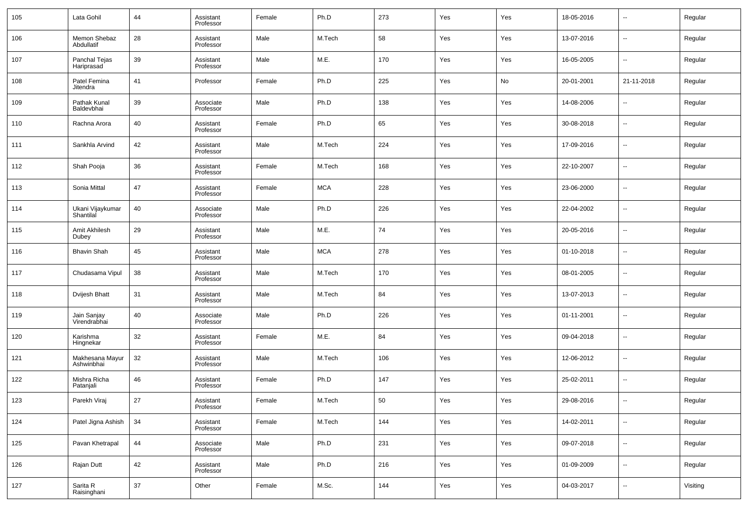| 105 | Lata Gohil                    | 44 | Assistant<br>Professor | Female | Ph.D       | 273 | Yes | Yes | 18-05-2016 | $\overline{\phantom{a}}$ | Regular  |
|-----|-------------------------------|----|------------------------|--------|------------|-----|-----|-----|------------|--------------------------|----------|
| 106 | Memon Shebaz<br>Abdullatif    | 28 | Assistant<br>Professor | Male   | M.Tech     | 58  | Yes | Yes | 13-07-2016 | $\overline{\phantom{a}}$ | Regular  |
| 107 | Panchal Tejas<br>Hariprasad   | 39 | Assistant<br>Professor | Male   | M.E.       | 170 | Yes | Yes | 16-05-2005 | $\overline{\phantom{a}}$ | Regular  |
| 108 | Patel Femina<br>Jitendra      | 41 | Professor              | Female | Ph.D       | 225 | Yes | No  | 20-01-2001 | 21-11-2018               | Regular  |
| 109 | Pathak Kunal<br>Baldevbhai    | 39 | Associate<br>Professor | Male   | Ph.D       | 138 | Yes | Yes | 14-08-2006 | $\overline{\phantom{a}}$ | Regular  |
| 110 | Rachna Arora                  | 40 | Assistant<br>Professor | Female | Ph.D       | 65  | Yes | Yes | 30-08-2018 | $\overline{\phantom{a}}$ | Regular  |
| 111 | Sankhla Arvind                | 42 | Assistant<br>Professor | Male   | M.Tech     | 224 | Yes | Yes | 17-09-2016 | $\overline{\phantom{a}}$ | Regular  |
| 112 | Shah Pooja                    | 36 | Assistant<br>Professor | Female | M.Tech     | 168 | Yes | Yes | 22-10-2007 | $\overline{\phantom{a}}$ | Regular  |
| 113 | Sonia Mittal                  | 47 | Assistant<br>Professor | Female | <b>MCA</b> | 228 | Yes | Yes | 23-06-2000 | $\overline{\phantom{a}}$ | Regular  |
| 114 | Ukani Vijaykumar<br>Shantilal | 40 | Associate<br>Professor | Male   | Ph.D       | 226 | Yes | Yes | 22-04-2002 | $\overline{\phantom{a}}$ | Regular  |
| 115 | Amit Akhilesh<br>Dubey        | 29 | Assistant<br>Professor | Male   | M.E.       | 74  | Yes | Yes | 20-05-2016 | $\overline{\phantom{a}}$ | Regular  |
| 116 | <b>Bhavin Shah</b>            | 45 | Assistant<br>Professor | Male   | <b>MCA</b> | 278 | Yes | Yes | 01-10-2018 | $\overline{\phantom{a}}$ | Regular  |
| 117 | Chudasama Vipul               | 38 | Assistant<br>Professor | Male   | M.Tech     | 170 | Yes | Yes | 08-01-2005 | $\overline{\phantom{a}}$ | Regular  |
| 118 | Dvijesh Bhatt                 | 31 | Assistant<br>Professor | Male   | M.Tech     | 84  | Yes | Yes | 13-07-2013 | $\overline{\phantom{a}}$ | Regular  |
| 119 | Jain Sanjay<br>Virendrabhai   | 40 | Associate<br>Professor | Male   | Ph.D       | 226 | Yes | Yes | 01-11-2001 | $\overline{\phantom{a}}$ | Regular  |
| 120 | Karishma<br>Hingnekar         | 32 | Assistant<br>Professor | Female | M.E.       | 84  | Yes | Yes | 09-04-2018 | $\overline{\phantom{a}}$ | Regular  |
| 121 | Makhesana Mayur<br>Ashwinbhai | 32 | Assistant<br>Professor | Male   | M.Tech     | 106 | Yes | Yes | 12-06-2012 | $\overline{\phantom{a}}$ | Regular  |
| 122 | Mishra Richa<br>Patanjali     | 46 | Assistant<br>Professor | Female | Ph.D       | 147 | Yes | Yes | 25-02-2011 | $\overline{\phantom{a}}$ | Regular  |
| 123 | Parekh Viraj                  | 27 | Assistant<br>Professor | Female | M.Tech     | 50  | Yes | Yes | 29-08-2016 | $\overline{\phantom{a}}$ | Regular  |
| 124 | Patel Jigna Ashish            | 34 | Assistant<br>Professor | Female | M.Tech     | 144 | Yes | Yes | 14-02-2011 | $\overline{\phantom{a}}$ | Regular  |
| 125 | Pavan Khetrapal               | 44 | Associate<br>Professor | Male   | Ph.D       | 231 | Yes | Yes | 09-07-2018 | $\overline{\phantom{a}}$ | Regular  |
| 126 | Rajan Dutt                    | 42 | Assistant<br>Professor | Male   | Ph.D       | 216 | Yes | Yes | 01-09-2009 | $\overline{\phantom{a}}$ | Regular  |
| 127 | Sarita R<br>Raisinghani       | 37 | Other                  | Female | M.Sc.      | 144 | Yes | Yes | 04-03-2017 | ۰.                       | Visiting |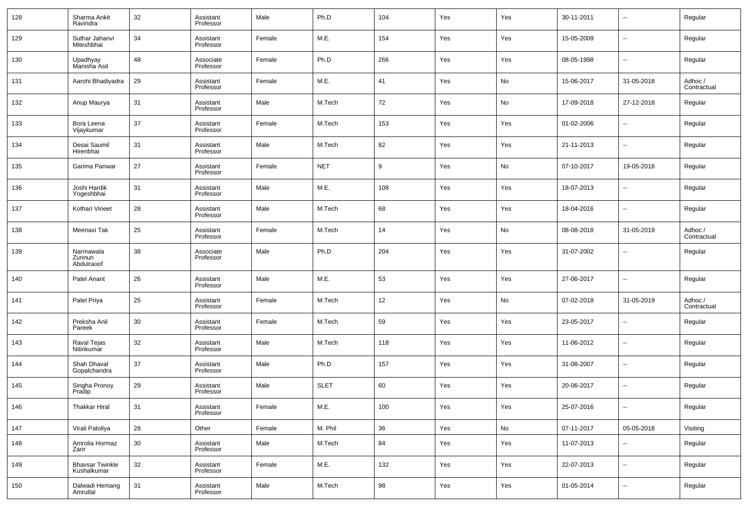| 128 | Sharma Ankit<br>Ravindra              | 32 | Assistant<br>Professor | Male   | Ph.D        | 104 | Yes | Yes | 30-11-2011 | $\overline{\phantom{a}}$ | Regular                |
|-----|---------------------------------------|----|------------------------|--------|-------------|-----|-----|-----|------------|--------------------------|------------------------|
| 129 | Suthar Jahanvi<br>Miteshbhai          | 34 | Assistant<br>Professor | Female | M.E.        | 154 | Yes | Yes | 15-05-2009 | $\overline{\phantom{a}}$ | Regular                |
| 130 | Upadhyay<br>Manisha Asit              | 48 | Associate<br>Professor | Female | Ph.D        | 266 | Yes | Yes | 08-05-1998 | $\overline{\phantom{a}}$ | Regular                |
| 131 | Aarohi Bhadiyadra                     | 29 | Assistant<br>Professor | Female | M.E.        | 41  | Yes | No  | 15-06-2017 | 31-05-2018               | Adhoc /<br>Contractual |
| 132 | Anup Maurya                           | 31 | Assistant<br>Professor | Male   | M.Tech      | 72  | Yes | No  | 17-09-2018 | 27-12-2018               | Regular                |
| 133 | Bora Leena<br>Vijaykumar              | 37 | Assistant<br>Professor | Female | M.Tech      | 153 | Yes | Yes | 01-02-2006 | $\overline{\phantom{a}}$ | Regular                |
| 134 | Desai Saumil<br>Hirenbhai             | 31 | Assistant<br>Professor | Male   | M.Tech      | 82  | Yes | Yes | 21-11-2013 | $\overline{\phantom{a}}$ | Regular                |
| 135 | Garima Panwar                         | 27 | Assistant<br>Professor | Female | <b>NET</b>  | 9   | Yes | No  | 07-10-2017 | 19-05-2018               | Regular                |
| 136 | Joshi Hardik<br>Yogeshbhai            | 31 | Assistant<br>Professor | Male   | M.E.        | 108 | Yes | Yes | 18-07-2013 | $\overline{\phantom{a}}$ | Regular                |
| 137 | Kothari Vineet                        | 28 | Assistant<br>Professor | Male   | M.Tech      | 68  | Yes | Yes | 18-04-2016 | $\overline{\phantom{a}}$ | Regular                |
| 138 | Meenaxi Tak                           | 25 | Assistant<br>Professor | Female | M.Tech      | 14  | Yes | No  | 08-08-2018 | 31-05-2019               | Adhoc /<br>Contractual |
| 139 | Narmawala<br>Zunnun<br>Abdulraoof     | 38 | Associate<br>Professor | Male   | Ph.D        | 204 | Yes | Yes | 31-07-2002 | $\overline{\phantom{a}}$ | Regular                |
| 140 | Patel Anant                           | 26 | Assistant<br>Professor | Male   | M.E.        | 53  | Yes | Yes | 27-06-2017 | $\overline{\phantom{a}}$ | Regular                |
| 141 | Patel Priya                           | 25 | Assistant<br>Professor | Female | M.Tech      | 12  | Yes | No  | 07-02-2018 | 31-05-2019               | Adhoc /<br>Contractual |
| 142 | Preksha Anil<br>Pareek                | 30 | Assistant<br>Professor | Female | M.Tech      | 59  | Yes | Yes | 23-05-2017 | $\overline{\phantom{a}}$ | Regular                |
| 143 | Raval Tejas<br>Nitinkumar             | 32 | Assistant<br>Professor | Male   | M.Tech      | 118 | Yes | Yes | 11-06-2012 | --                       | Regular                |
| 144 | Shah Dhaval<br>Gopalchandra           | 37 | Assistant<br>Professor | Male   | Ph.D        | 157 | Yes | Yes | 31-08-2007 | --                       | Regular                |
| 145 | Singha Pronoy<br>Pradip               | 29 | Assistant<br>Professor | Male   | <b>SLET</b> | 60  | Yes | Yes | 20-06-2017 | --                       | Regular                |
| 146 | <b>Thakkar Hiral</b>                  | 31 | Assistant<br>Professor | Female | M.E.        | 100 | Yes | Yes | 25-07-2016 | --                       | Regular                |
| 147 | Virali Patoliya                       | 28 | Other                  | Female | M. Phil     | 36  | Yes | No  | 07-11-2017 | 05-05-2018               | Visiting               |
| 148 | Amrolia Hormaz<br>Zarir               | 30 | Assistant<br>Professor | Male   | M.Tech      | 84  | Yes | Yes | 11-07-2013 | ۰.                       | Regular                |
| 149 | <b>Bhavsar Twinkle</b><br>Kushalkumar | 32 | Assistant<br>Professor | Female | M.E.        | 132 | Yes | Yes | 22-07-2013 | $\overline{\phantom{a}}$ | Regular                |
| 150 | Dalwadi Hemang<br>Amrutlal            | 31 | Assistant<br>Professor | Male   | M.Tech      | 98  | Yes | Yes | 01-05-2014 | ۰.                       | Regular                |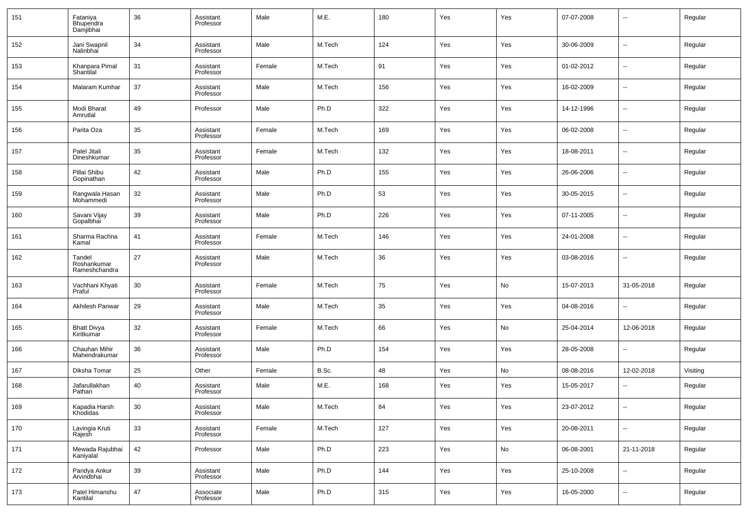| 151 | Fataniya<br>Bhupendra<br>Damjibhai     | 36 | Assistant<br>Professor | Male   | M.E.   | 180 | Yes | Yes | 07-07-2008 | --                       | Regular  |
|-----|----------------------------------------|----|------------------------|--------|--------|-----|-----|-----|------------|--------------------------|----------|
| 152 | Jani Swapnil<br>Nalinbhai              | 34 | Assistant<br>Professor | Male   | M.Tech | 124 | Yes | Yes | 30-06-2009 | ш,                       | Regular  |
| 153 | Khanpara Pimal<br>Shantilal            | 31 | Assistant<br>Professor | Female | M.Tech | 91  | Yes | Yes | 01-02-2012 | н.                       | Regular  |
| 154 | Malaram Kumhar                         | 37 | Assistant<br>Professor | Male   | M.Tech | 156 | Yes | Yes | 16-02-2009 | ш,                       | Regular  |
| 155 | Modi Bharat<br>Amrutlal                | 49 | Professor              | Male   | Ph.D   | 322 | Yes | Yes | 14-12-1996 | н.                       | Regular  |
| 156 | Parita Oza                             | 35 | Assistant<br>Professor | Female | M.Tech | 169 | Yes | Yes | 06-02-2008 | ш,                       | Regular  |
| 157 | Patel Jitali<br>Dineshkumar            | 35 | Assistant<br>Professor | Female | M.Tech | 132 | Yes | Yes | 18-08-2011 | ш,                       | Regular  |
| 158 | Pillai Shibu<br>Gopinathan             | 42 | Assistant<br>Professor | Male   | Ph.D   | 155 | Yes | Yes | 26-06-2006 | ш,                       | Regular  |
| 159 | Rangwala Hasan<br>Mohammedi            | 32 | Assistant<br>Professor | Male   | Ph.D   | 53  | Yes | Yes | 30-05-2015 | $\overline{\phantom{a}}$ | Regular  |
| 160 | Savani Vijay<br>Gopalbhai              | 39 | Assistant<br>Professor | Male   | Ph.D   | 226 | Yes | Yes | 07-11-2005 | н.                       | Regular  |
| 161 | Sharma Rachna<br>Kamal                 | 41 | Assistant<br>Professor | Female | M.Tech | 146 | Yes | Yes | 24-01-2008 | н.                       | Regular  |
| 162 | Tandel<br>Roshankumar<br>Rameshchandra | 27 | Assistant<br>Professor | Male   | M.Tech | 36  | Yes | Yes | 03-08-2016 | н.                       | Regular  |
| 163 | Vachhani Khyati<br>Praful              | 30 | Assistant<br>Professor | Female | M.Tech | 75  | Yes | No  | 15-07-2013 | 31-05-2018               | Regular  |
| 164 | Akhilesh Panwar                        | 29 | Assistant<br>Professor | Male   | M.Tech | 35  | Yes | Yes | 04-08-2016 | $\overline{a}$           | Regular  |
| 165 | <b>Bhatt Divya</b><br>Kiritkumar       | 32 | Assistant<br>Professor | Female | M.Tech | 66  | Yes | No  | 25-04-2014 | 12-06-2018               | Regular  |
| 166 | Chauhan Mihir<br>Mahendrakumar         | 36 | Assistant<br>Professor | Male   | Ph.D   | 154 | Yes | Yes | 28-05-2008 | $\overline{a}$           | Regular  |
| 167 | Diksha Tomar                           | 25 | Other                  | Female | B.Sc.  | 48  | Yes | No  | 08-08-2016 | 12-02-2018               | Visiting |
| 168 | Jafarullakhan<br>Pathan                | 40 | Assistant<br>Professor | Male   | M.E.   | 168 | Yes | Yes | 15-05-2017 | --                       | Regular  |
| 169 | Kapadia Harsh<br>Khodidas              | 30 | Assistant<br>Professor | Male   | M.Tech | 84  | Yes | Yes | 23-07-2012 |                          | Regular  |
| 170 | Lavingia Kruti<br>Rajesh               | 33 | Assistant<br>Professor | Female | M.Tech | 127 | Yes | Yes | 20-08-2011 | $\overline{\phantom{a}}$ | Regular  |
| 171 | Mewada Rajubhai<br>Kaniyalal           | 42 | Professor              | Male   | Ph.D   | 223 | Yes | No  | 06-08-2001 | 21-11-2018               | Regular  |
| 172 | Pandya Ankur<br>Arvindbhai             | 39 | Assistant<br>Professor | Male   | Ph.D   | 144 | Yes | Yes | 25-10-2008 | $\overline{\phantom{a}}$ | Regular  |
| 173 | Patel Himanshu<br>Kantilal             | 47 | Associate<br>Professor | Male   | Ph.D   | 315 | Yes | Yes | 16-05-2000 | $\overline{\phantom{a}}$ | Regular  |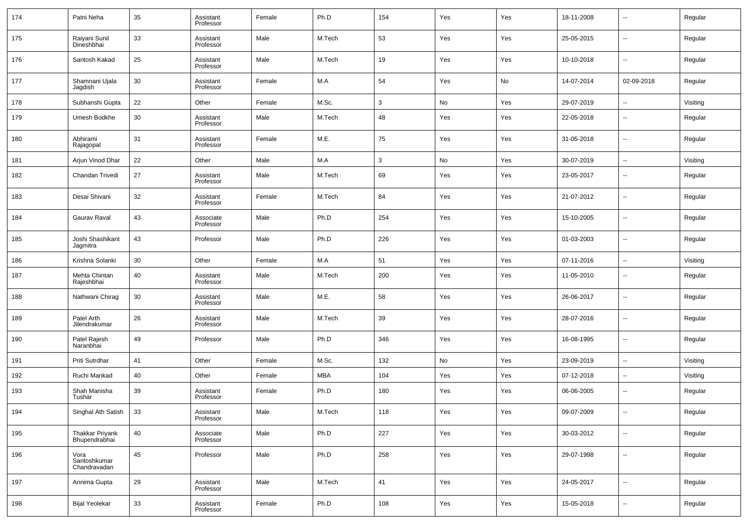| 174 | Patni Neha                           | 35 | Assistant<br>Professor | Female | Ph.D       | 154          | Yes | Yes | 18-11-2008 | $\overline{\phantom{a}}$ | Regular  |
|-----|--------------------------------------|----|------------------------|--------|------------|--------------|-----|-----|------------|--------------------------|----------|
| 175 | Raiyani Sunil<br>Dineshbhai          | 33 | Assistant<br>Professor | Male   | M.Tech     | 53           | Yes | Yes | 25-05-2015 | $\overline{\phantom{a}}$ | Regular  |
| 176 | Santosh Kakad                        | 25 | Assistant<br>Professor | Male   | M.Tech     | 19           | Yes | Yes | 10-10-2018 | $\overline{\phantom{a}}$ | Regular  |
| 177 | Shamnani Ujala<br>Jagdish            | 30 | Assistant<br>Professor | Female | M.A        | 54           | Yes | No  | 14-07-2014 | 02-09-2018               | Regular  |
| 178 | Subhanshi Gupta                      | 22 | Other                  | Female | M.Sc.      | 3            | No  | Yes | 29-07-2019 | $\sim$                   | Visiting |
| 179 | Umesh Bodkhe                         | 30 | Assistant<br>Professor | Male   | M.Tech     | 48           | Yes | Yes | 22-05-2018 | $\overline{\phantom{a}}$ | Regular  |
| 180 | Abhirami<br>Rajagopal                | 31 | Assistant<br>Professor | Female | M.E.       | 75           | Yes | Yes | 31-05-2018 | $\overline{\phantom{a}}$ | Regular  |
| 181 | Arjun Vinod Dhar                     | 22 | Other                  | Male   | M.A        | $\mathbf{3}$ | No  | Yes | 30-07-2019 | $\overline{\phantom{a}}$ | Visiting |
| 182 | Chandan Trivedi                      | 27 | Assistant<br>Professor | Male   | M.Tech     | 69           | Yes | Yes | 23-05-2017 | $\overline{\phantom{a}}$ | Regular  |
| 183 | Desai Shivani                        | 32 | Assistant<br>Professor | Female | M.Tech     | 84           | Yes | Yes | 21-07-2012 | $\overline{\phantom{a}}$ | Regular  |
| 184 | Gaurav Raval                         | 43 | Associate<br>Professor | Male   | Ph.D       | 254          | Yes | Yes | 15-10-2005 | $\overline{\phantom{a}}$ | Regular  |
| 185 | Joshi Shashikant<br>Jagmitra         | 43 | Professor              | Male   | Ph.D       | 226          | Yes | Yes | 01-03-2003 | $\overline{\phantom{a}}$ | Regular  |
| 186 | Krishna Solanki                      | 30 | Other                  | Female | M.A        | 51           | Yes | Yes | 07-11-2016 | $\overline{\phantom{a}}$ | Visiting |
| 187 | Mehta Chintan<br>Rajeshbhai          | 40 | Assistant<br>Professor | Male   | M.Tech     | 200          | Yes | Yes | 11-05-2010 | $\overline{\phantom{a}}$ | Regular  |
| 188 | Nathwani Chirag                      | 30 | Assistant<br>Professor | Male   | M.E.       | 58           | Yes | Yes | 26-06-2017 | $\sim$                   | Regular  |
| 189 | Patel Arth<br>Jitendrakumar          | 26 | Assistant<br>Professor | Male   | M.Tech     | 39           | Yes | Yes | 28-07-2016 | $\overline{\phantom{a}}$ | Regular  |
| 190 | Patel Rajesh<br>Naranbhai            | 49 | Professor              | Male   | Ph.D       | 346          | Yes | Yes | 16-08-1995 | $\overline{\phantom{a}}$ | Regular  |
| 191 | Priti Sutrdhar                       | 41 | Other                  | Female | M.Sc.      | 132          | No  | Yes | 23-09-2019 | $\overline{\phantom{a}}$ | Visiting |
| 192 | Ruchi Mankad                         | 40 | Other                  | Female | <b>MBA</b> | 104          | Yes | Yes | 07-12-2018 | $\overline{\phantom{a}}$ | Visiting |
| 193 | Shah Manisha<br>Tushar               | 39 | Assistant<br>Professor | Female | Ph.D       | 180          | Yes | Yes | 06-06-2005 | $\overline{\phantom{a}}$ | Regular  |
| 194 | Singhal Ath Satish                   | 33 | Assistant<br>Professor | Male   | M.Tech     | 118          | Yes | Yes | 09-07-2009 | $\overline{\phantom{a}}$ | Regular  |
| 195 | Thakkar Priyank<br>Bhupendrabhai     | 40 | Associate<br>Professor | Male   | Ph.D       | 227          | Yes | Yes | 30-03-2012 | ۰.                       | Regular  |
| 196 | Vora<br>Santoshkumar<br>Chandravadan | 45 | Professor              | Male   | Ph.D       | 258          | Yes | Yes | 29-07-1998 | $\overline{\phantom{a}}$ | Regular  |
| 197 | Annima Gupta                         | 29 | Assistant<br>Professor | Male   | M.Tech     | 41           | Yes | Yes | 24-05-2017 | ۰.                       | Regular  |
| 198 | <b>Bijal Yeolekar</b>                | 33 | Assistant<br>Professor | Female | Ph.D       | 108          | Yes | Yes | 15-05-2018 | ۰.                       | Regular  |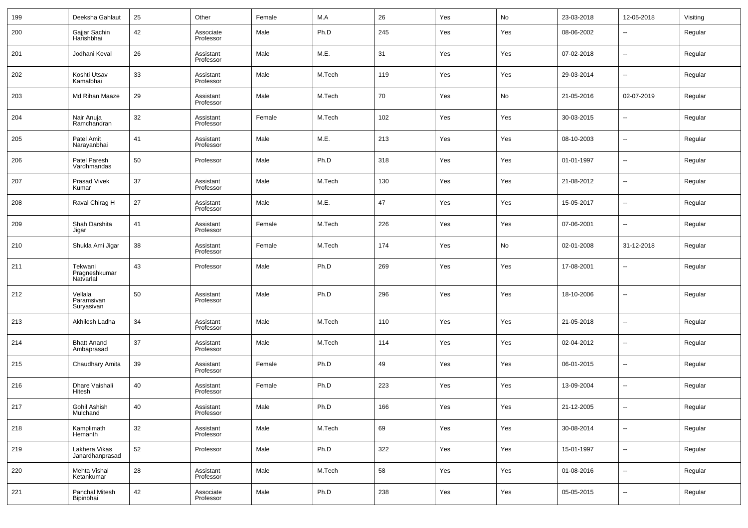| 199 | Deeksha Gahlaut                       | 25 | Other                  | Female | M.A    | 26  | Yes | No  | 23-03-2018 | 12-05-2018               | Visiting |
|-----|---------------------------------------|----|------------------------|--------|--------|-----|-----|-----|------------|--------------------------|----------|
| 200 | Gajjar Sachin<br>Harishbhai           | 42 | Associate<br>Professor | Male   | Ph.D   | 245 | Yes | Yes | 08-06-2002 | $\overline{\phantom{a}}$ | Regular  |
| 201 | Jodhani Keval                         | 26 | Assistant<br>Professor | Male   | M.E.   | 31  | Yes | Yes | 07-02-2018 | $\overline{\phantom{a}}$ | Regular  |
| 202 | Koshti Utsav<br>Kamalbhai             | 33 | Assistant<br>Professor | Male   | M.Tech | 119 | Yes | Yes | 29-03-2014 | $\overline{\phantom{a}}$ | Regular  |
| 203 | Md Rihan Maaze                        | 29 | Assistant<br>Professor | Male   | M.Tech | 70  | Yes | No  | 21-05-2016 | 02-07-2019               | Regular  |
| 204 | Nair Anuja<br>Ramchandran             | 32 | Assistant<br>Professor | Female | M.Tech | 102 | Yes | Yes | 30-03-2015 | $\overline{\phantom{a}}$ | Regular  |
| 205 | Patel Amit<br>Narayanbhai             | 41 | Assistant<br>Professor | Male   | M.E.   | 213 | Yes | Yes | 08-10-2003 | $\ddotsc$                | Regular  |
| 206 | Patel Paresh<br>Vardhmandas           | 50 | Professor              | Male   | Ph.D   | 318 | Yes | Yes | 01-01-1997 | $\overline{\phantom{a}}$ | Regular  |
| 207 | Prasad Vivek<br>Kumar                 | 37 | Assistant<br>Professor | Male   | M.Tech | 130 | Yes | Yes | 21-08-2012 | $\overline{\phantom{a}}$ | Regular  |
| 208 | Raval Chirag H                        | 27 | Assistant<br>Professor | Male   | M.E.   | 47  | Yes | Yes | 15-05-2017 | $\overline{\phantom{a}}$ | Regular  |
| 209 | Shah Darshita<br>Jigar                | 41 | Assistant<br>Professor | Female | M.Tech | 226 | Yes | Yes | 07-06-2001 | $\overline{\phantom{a}}$ | Regular  |
| 210 | Shukla Ami Jigar                      | 38 | Assistant<br>Professor | Female | M.Tech | 174 | Yes | No  | 02-01-2008 | 31-12-2018               | Regular  |
| 211 | Tekwani<br>Pragneshkumar<br>Natvarlal | 43 | Professor              | Male   | Ph.D   | 269 | Yes | Yes | 17-08-2001 | $\overline{\phantom{a}}$ | Regular  |
| 212 | Vellala<br>Paramsivan<br>Suryasivan   | 50 | Assistant<br>Professor | Male   | Ph.D   | 296 | Yes | Yes | 18-10-2006 | $\overline{\phantom{a}}$ | Regular  |
| 213 | Akhilesh Ladha                        | 34 | Assistant<br>Professor | Male   | M.Tech | 110 | Yes | Yes | 21-05-2018 | $\overline{\phantom{a}}$ | Regular  |
| 214 | <b>Bhatt Anand</b><br>Ambaprasad      | 37 | Assistant<br>Professor | Male   | M.Tech | 114 | Yes | Yes | 02-04-2012 | $\overline{\phantom{a}}$ | Regular  |
| 215 | Chaudhary Amita                       | 39 | Assistant<br>Professor | Female | Ph.D   | 49  | Yes | Yes | 06-01-2015 | $\sim$                   | Regular  |
| 216 | Dhare Vaishali<br>Hitesh              | 40 | Assistant<br>Professor | Female | Ph.D   | 223 | Yes | Yes | 13-09-2004 | $\overline{\phantom{a}}$ | Regular  |
| 217 | Gohil Ashish<br>Mulchand              | 40 | Assistant<br>Professor | Male   | Ph.D   | 166 | Yes | Yes | 21-12-2005 |                          | Regular  |
| 218 | Kamplimath<br>Hemanth                 | 32 | Assistant<br>Professor | Male   | M.Tech | 69  | Yes | Yes | 30-08-2014 | $\overline{\phantom{a}}$ | Regular  |
| 219 | Lakhera Vikas<br>Janardhanprasad      | 52 | Professor              | Male   | Ph.D   | 322 | Yes | Yes | 15-01-1997 | ۰.                       | Regular  |
| 220 | Mehta Vishal<br>Ketankumar            | 28 | Assistant<br>Professor | Male   | M.Tech | 58  | Yes | Yes | 01-08-2016 | ۰.                       | Regular  |
| 221 | Panchal Mitesh<br>Bipinbhai           | 42 | Associate<br>Professor | Male   | Ph.D   | 238 | Yes | Yes | 05-05-2015 | ۰.                       | Regular  |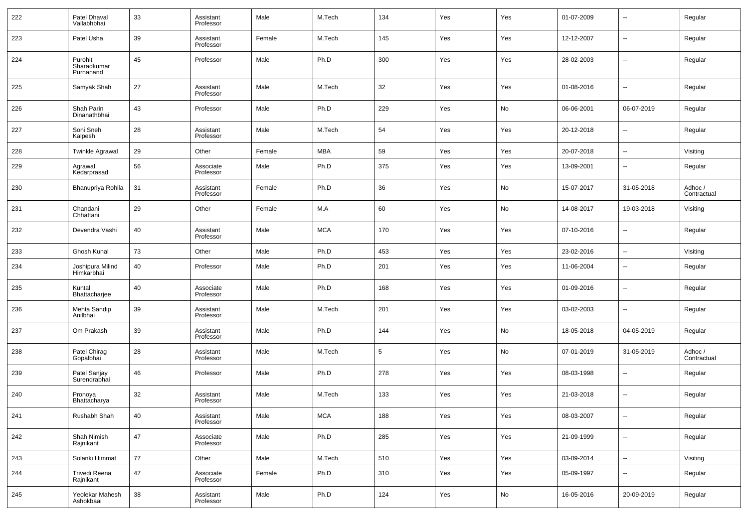| 222 | Patel Dhaval<br>Vallabhbhai         | 33 | Assistant<br>Professor | Male   | M.Tech     | 134 | Yes | Yes | 01-07-2009 | $\overline{\phantom{a}}$ | Regular                |
|-----|-------------------------------------|----|------------------------|--------|------------|-----|-----|-----|------------|--------------------------|------------------------|
| 223 | Patel Usha                          | 39 | Assistant<br>Professor | Female | M.Tech     | 145 | Yes | Yes | 12-12-2007 | $\overline{\phantom{a}}$ | Regular                |
| 224 | Purohit<br>Sharadkumar<br>Purnanand | 45 | Professor              | Male   | Ph.D       | 300 | Yes | Yes | 28-02-2003 | $\overline{\phantom{a}}$ | Regular                |
| 225 | Samyak Shah                         | 27 | Assistant<br>Professor | Male   | M.Tech     | 32  | Yes | Yes | 01-08-2016 | $\ddotsc$                | Regular                |
| 226 | Shah Parin<br>Dinanathbhai          | 43 | Professor              | Male   | Ph.D       | 229 | Yes | No  | 06-06-2001 | 06-07-2019               | Regular                |
| 227 | Soni Sneh<br>Kalpesh                | 28 | Assistant<br>Professor | Male   | M.Tech     | 54  | Yes | Yes | 20-12-2018 | --                       | Regular                |
| 228 | <b>Twinkle Agrawal</b>              | 29 | Other                  | Female | <b>MBA</b> | 59  | Yes | Yes | 20-07-2018 | $\overline{\phantom{a}}$ | Visiting               |
| 229 | Agrawal<br>Kedarprasad              | 56 | Associate<br>Professor | Male   | Ph.D       | 375 | Yes | Yes | 13-09-2001 | $\overline{\phantom{a}}$ | Regular                |
| 230 | Bhanupriya Rohila                   | 31 | Assistant<br>Professor | Female | Ph.D       | 36  | Yes | No  | 15-07-2017 | 31-05-2018               | Adhoc /<br>Contractual |
| 231 | Chandani<br>Chhattani               | 29 | Other                  | Female | M.A        | 60  | Yes | No  | 14-08-2017 | 19-03-2018               | Visiting               |
| 232 | Devendra Vashi                      | 40 | Assistant<br>Professor | Male   | <b>MCA</b> | 170 | Yes | Yes | 07-10-2016 | $\overline{\phantom{a}}$ | Regular                |
| 233 | Ghosh Kunal                         | 73 | Other                  | Male   | Ph.D       | 453 | Yes | Yes | 23-02-2016 | $\overline{\phantom{a}}$ | Visiting               |
| 234 | Joshipura Milind<br>Himkarbhai      | 40 | Professor              | Male   | Ph.D       | 201 | Yes | Yes | 11-06-2004 | $\overline{\phantom{a}}$ | Regular                |
| 235 | Kuntal<br>Bhattacharjee             | 40 | Associate<br>Professor | Male   | Ph.D       | 168 | Yes | Yes | 01-09-2016 | $\overline{\phantom{a}}$ | Regular                |
| 236 | Mehta Sandip<br>Anilbhai            | 39 | Assistant<br>Professor | Male   | M.Tech     | 201 | Yes | Yes | 03-02-2003 | $\overline{\phantom{a}}$ | Regular                |
| 237 | Om Prakash                          | 39 | Assistant<br>Professor | Male   | Ph.D       | 144 | Yes | No  | 18-05-2018 | 04-05-2019               | Regular                |
| 238 | Patel Chirag<br>Gopalbhai           | 28 | Assistant<br>Professor | Male   | M.Tech     | 5   | Yes | No  | 07-01-2019 | 31-05-2019               | Adhoc /<br>Contractual |
| 239 | Patel Sanjay<br>Surendrabhai        | 46 | Professor              | Male   | Ph.D       | 278 | Yes | Yes | 08-03-1998 | $\overline{\phantom{a}}$ | Regular                |
| 240 | Pronoya<br>Bhattacharya             | 32 | Assistant<br>Professor | Male   | M.Tech     | 133 | Yes | Yes | 21-03-2018 | $\overline{\phantom{a}}$ | Regular                |
| 241 | Rushabh Shah                        | 40 | Assistant<br>Professor | Male   | <b>MCA</b> | 188 | Yes | Yes | 08-03-2007 | $\overline{\phantom{a}}$ | Regular                |
| 242 | Shah Nimish<br>Rajnikant            | 47 | Associate<br>Professor | Male   | Ph.D       | 285 | Yes | Yes | 21-09-1999 | $\overline{\phantom{a}}$ | Regular                |
| 243 | Solanki Himmat                      | 77 | Other                  | Male   | M.Tech     | 510 | Yes | Yes | 03-09-2014 | $\overline{\phantom{a}}$ | Visiting               |
| 244 | Trivedi Reena<br>Rajnikant          | 47 | Associate<br>Professor | Female | Ph.D       | 310 | Yes | Yes | 05-09-1997 | $\overline{\phantom{a}}$ | Regular                |
| 245 | Yeolekar Mahesh<br>Ashokbaai        | 38 | Assistant<br>Professor | Male   | Ph.D       | 124 | Yes | No  | 16-05-2016 | 20-09-2019               | Regular                |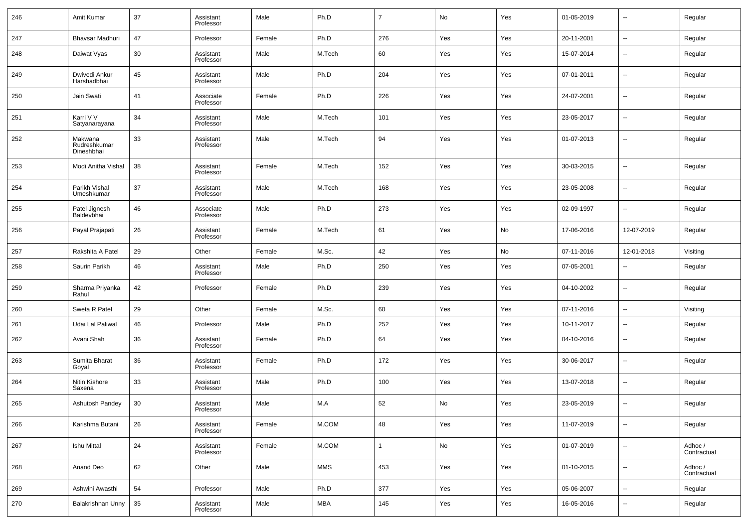| 246 | Amit Kumar                            | 37 | Assistant<br>Professor | Male   | Ph.D   | $\overline{7}$ | No  | Yes | 01-05-2019 | $\overline{\phantom{a}}$ | Regular                |
|-----|---------------------------------------|----|------------------------|--------|--------|----------------|-----|-----|------------|--------------------------|------------------------|
| 247 | Bhavsar Madhuri                       | 47 | Professor              | Female | Ph.D   | 276            | Yes | Yes | 20-11-2001 | $\overline{\phantom{a}}$ | Regular                |
| 248 | Daiwat Vyas                           | 30 | Assistant<br>Professor | Male   | M.Tech | 60             | Yes | Yes | 15-07-2014 | $\sim$                   | Regular                |
| 249 | Dwivedi Ankur<br>Harshadbhai          | 45 | Assistant<br>Professor | Male   | Ph.D   | 204            | Yes | Yes | 07-01-2011 | $\overline{a}$           | Regular                |
| 250 | Jain Swati                            | 41 | Associate<br>Professor | Female | Ph.D   | 226            | Yes | Yes | 24-07-2001 | $\overline{\phantom{a}}$ | Regular                |
| 251 | Karri V V<br>Satyanarayana            | 34 | Assistant<br>Professor | Male   | M.Tech | 101            | Yes | Yes | 23-05-2017 | --                       | Regular                |
| 252 | Makwana<br>Rudreshkumar<br>Dineshbhai | 33 | Assistant<br>Professor | Male   | M.Tech | 94             | Yes | Yes | 01-07-2013 | $\sim$                   | Regular                |
| 253 | Modi Anitha Vishal                    | 38 | Assistant<br>Professor | Female | M.Tech | 152            | Yes | Yes | 30-03-2015 | ш,                       | Regular                |
| 254 | Parikh Vishal<br>Umeshkumar           | 37 | Assistant<br>Professor | Male   | M.Tech | 168            | Yes | Yes | 23-05-2008 | --                       | Regular                |
| 255 | Patel Jignesh<br>Baldevbhai           | 46 | Associate<br>Professor | Male   | Ph.D   | 273            | Yes | Yes | 02-09-1997 | ш,                       | Regular                |
| 256 | Payal Prajapati                       | 26 | Assistant<br>Professor | Female | M.Tech | 61             | Yes | No  | 17-06-2016 | 12-07-2019               | Regular                |
| 257 | Rakshita A Patel                      | 29 | Other                  | Female | M.Sc.  | 42             | Yes | No  | 07-11-2016 | 12-01-2018               | Visiting               |
| 258 | Saurin Parikh                         | 46 | Assistant<br>Professor | Male   | Ph.D   | 250            | Yes | Yes | 07-05-2001 | --                       | Regular                |
| 259 | Sharma Priyanka<br>Rahul              | 42 | Professor              | Female | Ph.D   | 239            | Yes | Yes | 04-10-2002 | $\sim$                   | Regular                |
| 260 | Sweta R Patel                         | 29 | Other                  | Female | M.Sc.  | 60             | Yes | Yes | 07-11-2016 | $\sim$                   | Visiting               |
| 261 | Udai Lal Paliwal                      | 46 | Professor              | Male   | Ph.D   | 252            | Yes | Yes | 10-11-2017 | --                       | Regular                |
| 262 | Avani Shah                            | 36 | Assistant<br>Professor | Female | Ph.D   | 64             | Yes | Yes | 04-10-2016 | --                       | Regular                |
| 263 | Sumita Bharat<br>Goyal                | 36 | Assistant<br>Professor | Female | Ph.D   | 172            | Yes | Yes | 30-06-2017 | --                       | Regular                |
| 264 | Nitin Kishore<br>Saxena               | 33 | Assistant<br>Professor | Male   | Ph.D   | 100            | Yes | Yes | 13-07-2018 | --                       | Regular                |
| 265 | Ashutosh Pandey                       | 30 | Assistant<br>Professor | Male   | M.A    | 52             | No  | Yes | 23-05-2019 | $\overline{a}$           | Regular                |
| 266 | Karishma Butani                       | 26 | Assistant<br>Professor | Female | M.COM  | 48             | Yes | Yes | 11-07-2019 | $\overline{\phantom{a}}$ | Regular                |
| 267 | <b>Ishu Mittal</b>                    | 24 | Assistant<br>Professor | Female | M.COM  | 1              | No  | Yes | 01-07-2019 | $\overline{\phantom{a}}$ | Adhoc /<br>Contractual |
| 268 | Anand Deo                             | 62 | Other                  | Male   | MMS    | 453            | Yes | Yes | 01-10-2015 | $\overline{\phantom{a}}$ | Adhoc /<br>Contractual |
| 269 | Ashwini Awasthi                       | 54 | Professor              | Male   | Ph.D   | 377            | Yes | Yes | 05-06-2007 | $\sim$                   | Regular                |
| 270 | Balakrishnan Unny                     | 35 | Assistant<br>Professor | Male   | MBA    | 145            | Yes | Yes | 16-05-2016 | $\overline{\phantom{a}}$ | Regular                |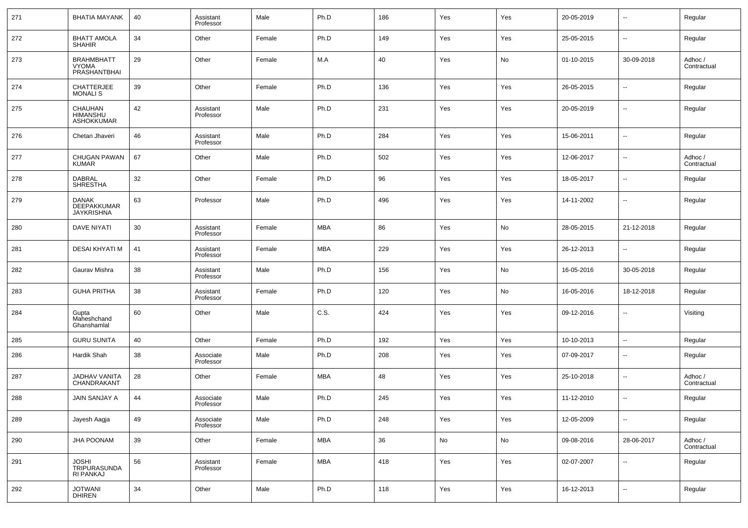| 271 | <b>BHATIA MAYANK</b>                                    | 40 | Assistant<br>Professor | Male   | Ph.D       | 186 | Yes | Yes | 20-05-2019 | $\sim$                   | Regular                |
|-----|---------------------------------------------------------|----|------------------------|--------|------------|-----|-----|-----|------------|--------------------------|------------------------|
| 272 | <b>BHATT AMOLA</b><br><b>SHAHIR</b>                     | 34 | Other                  | Female | Ph.D       | 149 | Yes | Yes | 25-05-2015 | $\overline{\phantom{a}}$ | Regular                |
| 273 | <b>BRAHMBHATT</b><br>VYOMA<br>PRASHANTBHAI              | 29 | Other                  | Female | M.A        | 40  | Yes | No  | 01-10-2015 | 30-09-2018               | Adhoc /<br>Contractual |
| 274 | <b>CHATTERJEE</b><br><b>MONALIS</b>                     | 39 | Other                  | Female | Ph.D       | 136 | Yes | Yes | 26-05-2015 | ш,                       | Regular                |
| 275 | CHAUHAN<br><b>HIMANSHU</b><br><b>ASHOKKUMAR</b>         | 42 | Assistant<br>Professor | Male   | Ph.D       | 231 | Yes | Yes | 20-05-2019 | $\overline{\phantom{a}}$ | Regular                |
| 276 | Chetan Jhaveri                                          | 46 | Assistant<br>Professor | Male   | Ph.D       | 284 | Yes | Yes | 15-06-2011 | --                       | Regular                |
| 277 | <b>CHUGAN PAWAN</b><br><b>KUMAR</b>                     | 67 | Other                  | Male   | Ph.D       | 502 | Yes | Yes | 12-06-2017 | --                       | Adhoc /<br>Contractual |
| 278 | <b>DABRAL</b><br><b>SHRESTHA</b>                        | 32 | Other                  | Female | Ph.D       | 96  | Yes | Yes | 18-05-2017 | --                       | Regular                |
| 279 | <b>DANAK</b><br><b>DEEPAKKUMAR</b><br><b>JAYKRISHNA</b> | 63 | Professor              | Male   | Ph.D       | 496 | Yes | Yes | 14-11-2002 | --                       | Regular                |
| 280 | <b>DAVE NIYATI</b>                                      | 30 | Assistant<br>Professor | Female | <b>MBA</b> | 86  | Yes | No  | 28-05-2015 | 21-12-2018               | Regular                |
| 281 | DESAI KHYATI M                                          | 41 | Assistant<br>Professor | Female | <b>MBA</b> | 229 | Yes | Yes | 26-12-2013 | --                       | Regular                |
| 282 | Gaurav Mishra                                           | 38 | Assistant<br>Professor | Male   | Ph.D       | 156 | Yes | No  | 16-05-2016 | 30-05-2018               | Regular                |
| 283 | <b>GUHA PRITHA</b>                                      | 38 | Assistant<br>Professor | Female | Ph.D       | 120 | Yes | No  | 16-05-2016 | 18-12-2018               | Regular                |
| 284 | Gupta<br>Maheshchand<br>Ghanshamlal                     | 60 | Other                  | Male   | C.S.       | 424 | Yes | Yes | 09-12-2016 | ۰.                       | Visiting               |
| 285 | <b>GURU SUNITA</b>                                      | 40 | Other                  | Female | Ph.D       | 192 | Yes | Yes | 10-10-2013 | $\overline{\phantom{a}}$ | Regular                |
| 286 | <b>Hardik Shah</b>                                      | 38 | Associate<br>Professor | Male   | Ph.D       | 208 | Yes | Yes | 07-09-2017 | $\overline{\phantom{a}}$ | Regular                |
| 287 | JADHAV VANITA<br>CHANDRAKANT                            | 28 | Other                  | Female | <b>MBA</b> | 48  | Yes | Yes | 25-10-2018 | $\sim$                   | Adhoc /<br>Contractual |
| 288 | <b>JAIN SANJAY A</b>                                    | 44 | Associate<br>Professor | Male   | Ph.D       | 245 | Yes | Yes | 11-12-2010 | ۰.                       | Regular                |
| 289 | Jayesh Aagja                                            | 49 | Associate<br>Professor | Male   | Ph.D       | 248 | Yes | Yes | 12-05-2009 | $\sim$                   | Regular                |
| 290 | <b>JHA POONAM</b>                                       | 39 | Other                  | Female | <b>MBA</b> | 36  | No  | No  | 09-08-2016 | 28-06-2017               | Adhoc /<br>Contractual |
| 291 | <b>JOSHI</b><br>TRIPURASUNDA<br>RI PANKAJ               | 56 | Assistant<br>Professor | Female | <b>MBA</b> | 418 | Yes | Yes | 02-07-2007 | $\overline{\phantom{a}}$ | Regular                |
| 292 | JOTWANI<br>DHIREN                                       | 34 | Other                  | Male   | Ph.D       | 118 | Yes | Yes | 16-12-2013 | $\sim$                   | Regular                |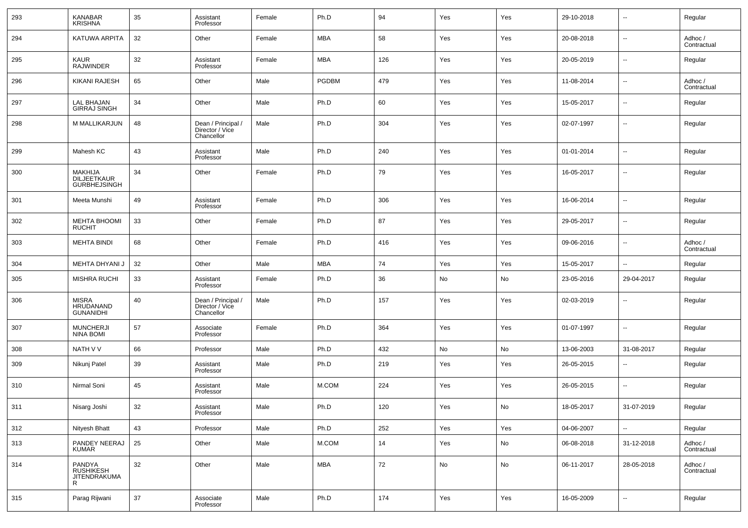| 293 | KANABAR<br>KRISHNA                                   | 35 | Assistant<br>Professor                              | Female | Ph.D         | 94  | Yes | Yes                          | 29-10-2018 | --                       | Regular                |
|-----|------------------------------------------------------|----|-----------------------------------------------------|--------|--------------|-----|-----|------------------------------|------------|--------------------------|------------------------|
| 294 | KATUWA ARPITA                                        | 32 | Other                                               | Female | <b>MBA</b>   | 58  | Yes | Yes                          | 20-08-2018 | --                       | Adhoc /<br>Contractual |
| 295 | <b>KAUR</b><br><b>RAJWINDER</b>                      | 32 | Assistant<br>Professor                              | Female | MBA          | 126 | Yes | Yes                          | 20-05-2019 | --                       | Regular                |
| 296 | <b>KIKANI RAJESH</b>                                 | 65 | Other                                               | Male   | <b>PGDBM</b> | 479 | Yes | Yes                          | 11-08-2014 | --                       | Adhoc /<br>Contractual |
| 297 | <b>LAL BHAJAN</b><br><b>GIRRAJ SINGH</b>             | 34 | Other                                               | Male   | Ph.D         | 60  | Yes | Yes                          | 15-05-2017 | --                       | Regular                |
| 298 | M MALLIKARJUN                                        | 48 | Dean / Principal /<br>Director / Vice<br>Chancellor | Male   | Ph.D         | 304 | Yes | Yes                          | 02-07-1997 | --                       | Regular                |
| 299 | Mahesh KC                                            | 43 | Assistant<br>Professor                              | Male   | Ph.D         | 240 | Yes | Yes                          | 01-01-2014 | $\overline{\phantom{a}}$ | Regular                |
| 300 | MAKHIJA<br><b>DILJEETKAUR</b><br><b>GURBHEJSINGH</b> | 34 | Other                                               | Female | Ph.D         | 79  | Yes | Yes                          | 16-05-2017 | ÷.                       | Regular                |
| 301 | Meeta Munshi                                         | 49 | Assistant<br>Professor                              | Female | Ph.D         | 306 | Yes | Yes                          | 16-06-2014 | $\overline{\phantom{a}}$ | Regular                |
| 302 | <b>MEHTA BHOOMI</b><br><b>RUCHIT</b>                 | 33 | Other                                               | Female | Ph.D         | 87  | Yes | Yes                          | 29-05-2017 | $\overline{\phantom{a}}$ | Regular                |
| 303 | <b>MEHTA BINDI</b>                                   | 68 | Other                                               | Female | Ph.D         | 416 | Yes | Yes                          | 09-06-2016 | $\overline{\phantom{a}}$ | Adhoc /<br>Contractual |
| 304 | MEHTA DHYANI J                                       | 32 | Other                                               | Male   | <b>MBA</b>   | 74  | Yes | Yes                          | 15-05-2017 | --                       | Regular                |
| 305 | MISHRA RUCHI                                         | 33 | Assistant<br>Professor                              | Female | Ph.D         | 36  | No  | No                           | 23-05-2016 | 29-04-2017               | Regular                |
| 306 | <b>MISRA</b><br><b>HRUDANAND</b><br><b>GUNANIDHI</b> | 40 | Dean / Principal /<br>Director / Vice<br>Chancellor | Male   | Ph.D         | 157 | Yes | Yes                          | 02-03-2019 | ÷.                       | Regular                |
| 307 | <b>MUNCHERJI</b><br><b>NINA BOMI</b>                 | 57 | Associate<br>Professor                              | Female | Ph.D         | 364 | Yes | Yes                          | 01-07-1997 | $\overline{\phantom{a}}$ | Regular                |
| 308 | NATH V V                                             | 66 | Professor                                           | Male   | Ph.D         | 432 | No  | No                           | 13-06-2003 | 31-08-2017               | Regular                |
| 309 | Nikunj Patel                                         | 39 | Assistant<br>Professor                              | Male   | Ph.D         | 219 | Yes | Yes                          | 26-05-2015 | ÷.                       | Regular                |
| 310 | Nirmal Soni                                          | 45 | Assistant<br>Professor                              | Male   | M.COM        | 224 | Yes | Yes                          | 26-05-2015 | ÷.                       | Regular                |
| 311 | Nisarg Joshi                                         | 32 | Assistant<br>Professor                              | Male   | Ph.D         | 120 | Yes | No                           | 18-05-2017 | 31-07-2019               | Regular                |
| 312 | Nityesh Bhatt                                        | 43 | Professor                                           | Male   | Ph.D         | 252 | Yes | Yes                          | 04-06-2007 | $\overline{\phantom{a}}$ | Regular                |
| 313 | PANDEY NEERAJ<br>KUMAR                               | 25 | Other                                               | Male   | M.COM        | 14  | Yes | $\operatorname{\mathsf{No}}$ | 06-08-2018 | 31-12-2018               | Adhoc /<br>Contractual |
| 314 | PANDYA<br>RUSHIKESH<br>JITENDRAKUMA<br>R             | 32 | Other                                               | Male   | MBA          | 72  | No  | No                           | 06-11-2017 | 28-05-2018               | Adhoc /<br>Contractual |
| 315 | Parag Rijwani                                        | 37 | Associate<br>Professor                              | Male   | Ph.D         | 174 | Yes | Yes                          | 16-05-2009 | Ξ.                       | Regular                |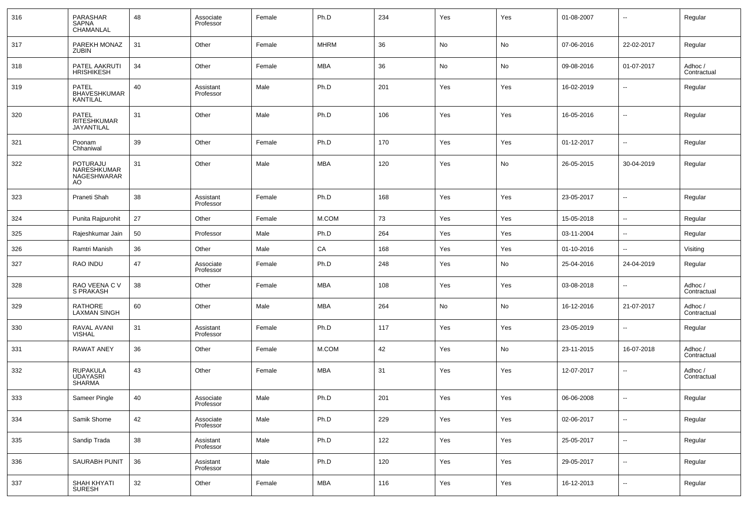| 316 | PARASHAR<br>SAPNA<br>CHAMANLAL                  | 48 | Associate<br>Professor | Female | Ph.D        | 234 | Yes | Yes | 01-08-2007 | $\overline{\phantom{a}}$ | Regular                |
|-----|-------------------------------------------------|----|------------------------|--------|-------------|-----|-----|-----|------------|--------------------------|------------------------|
| 317 | PAREKH MONAZ<br><b>ZUBIN</b>                    | 31 | Other                  | Female | <b>MHRM</b> | 36  | No  | No  | 07-06-2016 | 22-02-2017               | Regular                |
| 318 | PATEL AAKRUTI<br><b>HRISHIKESH</b>              | 34 | Other                  | Female | MBA         | 36  | No  | No  | 09-08-2016 | 01-07-2017               | Adhoc /<br>Contractual |
| 319 | <b>PATEL</b><br><b>BHAVESHKUMAR</b><br>KANTILAL | 40 | Assistant<br>Professor | Male   | Ph.D        | 201 | Yes | Yes | 16-02-2019 | $\overline{\phantom{a}}$ | Regular                |
| 320 | PATEL<br>RITESHKUMAR<br>JAYANTILAL              | 31 | Other                  | Male   | Ph.D        | 106 | Yes | Yes | 16-05-2016 | $\overline{\phantom{a}}$ | Regular                |
| 321 | Poonam<br>Chhaniwal                             | 39 | Other                  | Female | Ph.D        | 170 | Yes | Yes | 01-12-2017 | $\sim$                   | Regular                |
| 322 | POTURAJU<br>NARESHKUMAR<br>NAGESHWARAR<br>AO.   | 31 | Other                  | Male   | <b>MBA</b>  | 120 | Yes | No  | 26-05-2015 | 30-04-2019               | Regular                |
| 323 | Praneti Shah                                    | 38 | Assistant<br>Professor | Female | Ph.D        | 168 | Yes | Yes | 23-05-2017 | $\sim$                   | Regular                |
| 324 | Punita Rajpurohit                               | 27 | Other                  | Female | M.COM       | 73  | Yes | Yes | 15-05-2018 | $\overline{\phantom{a}}$ | Regular                |
| 325 | Rajeshkumar Jain                                | 50 | Professor              | Male   | Ph.D        | 264 | Yes | Yes | 03-11-2004 | $\overline{\phantom{a}}$ | Regular                |
| 326 | Ramtri Manish                                   | 36 | Other                  | Male   | CA          | 168 | Yes | Yes | 01-10-2016 | $\overline{\phantom{a}}$ | Visiting               |
| 327 | RAO INDU                                        | 47 | Associate<br>Professor | Female | Ph.D        | 248 | Yes | No  | 25-04-2016 | 24-04-2019               | Regular                |
| 328 | RAO VEENA C V<br>S PRAKASH                      | 38 | Other                  | Female | <b>MBA</b>  | 108 | Yes | Yes | 03-08-2018 | $\sim$                   | Adhoc /<br>Contractual |
| 329 | RATHORE<br><b>LAXMAN SINGH</b>                  | 60 | Other                  | Male   | MBA         | 264 | No  | No  | 16-12-2016 | 21-07-2017               | Adhoc /<br>Contractual |
| 330 | RAVAL AVANI<br><b>VISHAL</b>                    | 31 | Assistant<br>Professor | Female | Ph.D        | 117 | Yes | Yes | 23-05-2019 | $\overline{\phantom{a}}$ | Regular                |
| 331 | <b>RAWAT ANEY</b>                               | 36 | Other                  | Female | M.COM       | 42  | Yes | No  | 23-11-2015 | 16-07-2018               | Adhoc /<br>Contractual |
| 332 | <b>RUPAKULA</b><br><b>UDAYASRI</b><br>SHARMA    | 43 | Other                  | Female | MBA         | 31  | Yes | Yes | 12-07-2017 | $\overline{\phantom{a}}$ | Adhoc /<br>Contractual |
| 333 | Sameer Pingle                                   | 40 | Associate<br>Professor | Male   | Ph.D        | 201 | Yes | Yes | 06-06-2008 | $\overline{\phantom{a}}$ | Regular                |
| 334 | Samik Shome                                     | 42 | Associate<br>Professor | Male   | Ph.D        | 229 | Yes | Yes | 02-06-2017 | $\sim$                   | Regular                |
| 335 | Sandip Trada                                    | 38 | Assistant<br>Professor | Male   | Ph.D        | 122 | Yes | Yes | 25-05-2017 | $\overline{\phantom{a}}$ | Regular                |
| 336 | SAURABH PUNIT                                   | 36 | Assistant<br>Professor | Male   | Ph.D        | 120 | Yes | Yes | 29-05-2017 | $\sim$                   | Regular                |
| 337 | SHAH KHYATI<br><b>SURESH</b>                    | 32 | Other                  | Female | <b>MBA</b>  | 116 | Yes | Yes | 16-12-2013 | $\overline{\phantom{a}}$ | Regular                |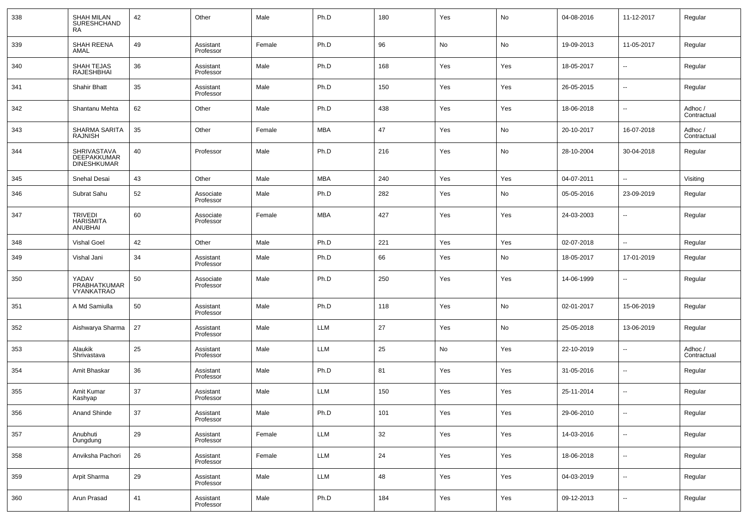| 338 | <b>SHAH MILAN</b><br><b>SURESHCHAND</b><br><b>RA</b> | 42 | Other                  | Male   | Ph.D       | 180 | Yes | No  | 04-08-2016 | 11-12-2017               | Regular                |
|-----|------------------------------------------------------|----|------------------------|--------|------------|-----|-----|-----|------------|--------------------------|------------------------|
| 339 | SHAH REENA<br>AMAL                                   | 49 | Assistant<br>Professor | Female | Ph.D       | 96  | No  | No  | 19-09-2013 | 11-05-2017               | Regular                |
| 340 | <b>SHAH TEJAS</b><br><b>RAJESHBHAI</b>               | 36 | Assistant<br>Professor | Male   | Ph.D       | 168 | Yes | Yes | 18-05-2017 | $\overline{\phantom{a}}$ | Regular                |
| 341 | Shahir Bhatt                                         | 35 | Assistant<br>Professor | Male   | Ph.D       | 150 | Yes | Yes | 26-05-2015 | $\overline{\phantom{a}}$ | Regular                |
| 342 | Shantanu Mehta                                       | 62 | Other                  | Male   | Ph.D       | 438 | Yes | Yes | 18-06-2018 | $\overline{\phantom{a}}$ | Adhoc /<br>Contractual |
| 343 | SHARMA SARITA<br><b>RAJNISH</b>                      | 35 | Other                  | Female | <b>MBA</b> | 47  | Yes | No  | 20-10-2017 | 16-07-2018               | Adhoc /<br>Contractual |
| 344 | SHRIVASTAVA<br>DEEPAKKUMAR<br>DINESHKUMAR            | 40 | Professor              | Male   | Ph.D       | 216 | Yes | No  | 28-10-2004 | 30-04-2018               | Regular                |
| 345 | Snehal Desai                                         | 43 | Other                  | Male   | <b>MBA</b> | 240 | Yes | Yes | 04-07-2011 | $\overline{\phantom{a}}$ | Visiting               |
| 346 | Subrat Sahu                                          | 52 | Associate<br>Professor | Male   | Ph.D       | 282 | Yes | No  | 05-05-2016 | 23-09-2019               | Regular                |
| 347 | <b>TRIVEDI</b><br><b>HARISMITA</b><br><b>ANUBHAI</b> | 60 | Associate<br>Professor | Female | <b>MBA</b> | 427 | Yes | Yes | 24-03-2003 | $\overline{\phantom{a}}$ | Regular                |
| 348 | <b>Vishal Goel</b>                                   | 42 | Other                  | Male   | Ph.D       | 221 | Yes | Yes | 02-07-2018 | --                       | Regular                |
| 349 | Vishal Jani                                          | 34 | Assistant<br>Professor | Male   | Ph.D       | 66  | Yes | No  | 18-05-2017 | 17-01-2019               | Regular                |
| 350 | YADAV<br>PRABHATKUMAR<br>VYANKATRAO                  | 50 | Associate<br>Professor | Male   | Ph.D       | 250 | Yes | Yes | 14-06-1999 | --                       | Regular                |
| 351 | A Md Samiulla                                        | 50 | Assistant<br>Professor | Male   | Ph.D       | 118 | Yes | No  | 02-01-2017 | 15-06-2019               | Regular                |
| 352 | Aishwarya Sharma                                     | 27 | Assistant<br>Professor | Male   | <b>LLM</b> | 27  | Yes | No  | 25-05-2018 | 13-06-2019               | Regular                |
| 353 | Alaukik<br>Shrivastava                               | 25 | Assistant<br>Professor | Male   | <b>LLM</b> | 25  | No  | Yes | 22-10-2019 | $\overline{\phantom{a}}$ | Adhoc /<br>Contractual |
| 354 | Amit Bhaskar                                         | 36 | Assistant<br>Professor | Male   | Ph.D       | 81  | Yes | Yes | 31-05-2016 | $\overline{\phantom{a}}$ | Regular                |
| 355 | Amit Kumar<br>Kashyap                                | 37 | Assistant<br>Professor | Male   | <b>LLM</b> | 150 | Yes | Yes | 25-11-2014 | $\overline{\phantom{a}}$ | Regular                |
| 356 | Anand Shinde                                         | 37 | Assistant<br>Professor | Male   | Ph.D       | 101 | Yes | Yes | 29-06-2010 | $\overline{\phantom{a}}$ | Regular                |
| 357 | Anubhuti<br>Dungdung                                 | 29 | Assistant<br>Professor | Female | <b>LLM</b> | 32  | Yes | Yes | 14-03-2016 | $\overline{\phantom{a}}$ | Regular                |
| 358 | Anviksha Pachori                                     | 26 | Assistant<br>Professor | Female | LLM        | 24  | Yes | Yes | 18-06-2018 | ۰.                       | Regular                |
| 359 | Arpit Sharma                                         | 29 | Assistant<br>Professor | Male   | <b>LLM</b> | 48  | Yes | Yes | 04-03-2019 | $\overline{\phantom{a}}$ | Regular                |
| 360 | Arun Prasad                                          | 41 | Assistant<br>Professor | Male   | Ph.D       | 184 | Yes | Yes | 09-12-2013 | $\overline{\phantom{a}}$ | Regular                |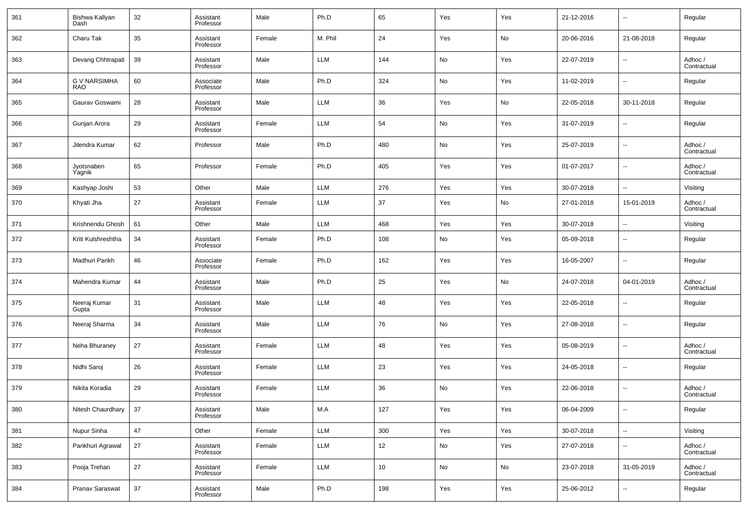| 361 | Bishwa Kallyan<br>Dash            | 32 | Assistant<br>Professor | Male   | Ph.D       | 65  | Yes | Yes | 21-12-2016 | $\overline{\phantom{a}}$ | Regular                |
|-----|-----------------------------------|----|------------------------|--------|------------|-----|-----|-----|------------|--------------------------|------------------------|
| 362 | Charu Tak                         | 35 | Assistant<br>Professor | Female | M. Phil    | 24  | Yes | No  | 20-06-2016 | 21-08-2018               | Regular                |
| 363 | Devang Chhtrapati                 | 39 | Assistant<br>Professor | Male   | LLM        | 144 | No  | Yes | 22-07-2019 | $\overline{\phantom{a}}$ | Adhoc /<br>Contractual |
| 364 | <b>G V NARSIMHA</b><br><b>RAO</b> | 60 | Associate<br>Professor | Male   | Ph.D       | 324 | No  | Yes | 11-02-2019 | $\sim$                   | Regular                |
| 365 | Gaurav Goswami                    | 28 | Assistant<br>Professor | Male   | LLM        | 36  | Yes | No  | 22-05-2018 | 30-11-2018               | Regular                |
| 366 | Gunjan Arora                      | 29 | Assistant<br>Professor | Female | LLM        | 54  | No  | Yes | 31-07-2019 | $\overline{\phantom{a}}$ | Regular                |
| 367 | Jitendra Kumar                    | 62 | Professor              | Male   | Ph.D       | 480 | No  | Yes | 25-07-2019 | $\overline{\phantom{a}}$ | Adhoc /<br>Contractual |
| 368 | Jyotsnaben<br>Yagnik              | 65 | Professor              | Female | Ph.D       | 405 | Yes | Yes | 01-07-2017 | $\overline{\phantom{a}}$ | Adhoc /<br>Contractual |
| 369 | Kashyap Joshi                     | 53 | Other                  | Male   | LLM        | 276 | Yes | Yes | 30-07-2018 | $\sim$                   | Visiting               |
| 370 | Khyati Jha                        | 27 | Assistant<br>Professor | Female | <b>LLM</b> | 37  | Yes | No  | 27-01-2018 | 15-01-2019               | Adhoc /<br>Contractual |
| 371 | Krishnendu Ghosh                  | 61 | Other                  | Male   | LLM        | 468 | Yes | Yes | 30-07-2018 | --                       | Visiting               |
| 372 | Kriti Kulshreshtha                | 34 | Assistant<br>Professor | Female | Ph.D       | 108 | No  | Yes | 05-09-2018 | $\sim$                   | Regular                |
| 373 | Madhuri Parikh                    | 46 | Associate<br>Professor | Female | Ph.D       | 162 | Yes | Yes | 16-05-2007 | $\overline{\phantom{a}}$ | Regular                |
| 374 | Mahendra Kumar                    | 44 | Assistant<br>Professor | Male   | Ph.D       | 25  | Yes | No  | 24-07-2018 | 04-01-2019               | Adhoc /<br>Contractual |
| 375 | Neeraj Kumar<br>Gupta             | 31 | Assistant<br>Professor | Male   | LLM        | 48  | Yes | Yes | 22-05-2018 | $\sim$                   | Regular                |
| 376 | Neeraj Sharma                     | 34 | Assistant<br>Professor | Male   | LLM        | 76  | No  | Yes | 27-08-2018 | $\overline{\phantom{a}}$ | Regular                |
| 377 | Neha Bhuraney                     | 27 | Assistant<br>Professor | Female | LLM        | 48  | Yes | Yes | 05-08-2019 | $\ddotsc$                | Adhoc /<br>Contractual |
| 378 | Nidhi Saroj                       | 26 | Assistant<br>Professor | Female | LLM        | 23  | Yes | Yes | 24-05-2018 | $\sim$                   | Regular                |
| 379 | Nikita Koradia                    | 29 | Assistant<br>Professor | Female | <b>LLM</b> | 36  | No  | Yes | 22-06-2018 | $\sim$                   | Adhoc /<br>Contractual |
| 380 | Nitesh Chaurdhary                 | 37 | Assistant<br>Professor | Male   | M.A        | 127 | Yes | Yes | 06-04-2009 | $\overline{\phantom{a}}$ | Regular                |
| 381 | Nupur Sinha                       | 47 | Other                  | Female | LLM        | 300 | Yes | Yes | 30-07-2018 | $\sim$                   | Visiting               |
| 382 | Pankhuri Agrawal                  | 27 | Assistant<br>Professor | Female | LLM        | 12  | No  | Yes | 27-07-2018 | $\overline{\phantom{a}}$ | Adhoc /<br>Contractual |
| 383 | Pooja Trehan                      | 27 | Assistant<br>Professor | Female | LLM        | 10  | No  | No  | 23-07-2018 | 31-05-2019               | Adhoc /<br>Contractual |
| 384 | Pranav Saraswat                   | 37 | Assistant<br>Professor | Male   | Ph.D       | 198 | Yes | Yes | 25-06-2012 | $\overline{\phantom{a}}$ | Regular                |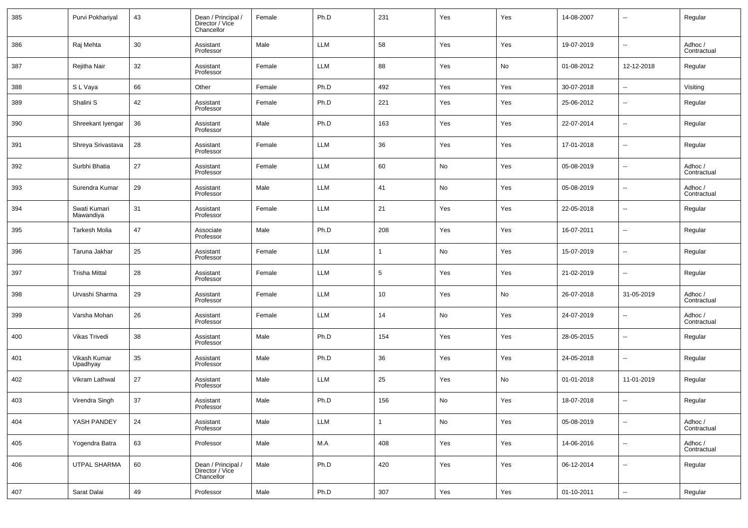| 385 | Purvi Pokhariyal          | 43 | Dean / Principal /<br>Director / Vice<br>Chancellor | Female | Ph.D       | 231 | Yes | Yes | 14-08-2007 | $\sim$                   | Regular                |
|-----|---------------------------|----|-----------------------------------------------------|--------|------------|-----|-----|-----|------------|--------------------------|------------------------|
| 386 | Raj Mehta                 | 30 | Assistant<br>Professor                              | Male   | <b>LLM</b> | 58  | Yes | Yes | 19-07-2019 | $\overline{\phantom{a}}$ | Adhoc /<br>Contractual |
| 387 | Rejitha Nair              | 32 | Assistant<br>Professor                              | Female | <b>LLM</b> | 88  | Yes | No  | 01-08-2012 | 12-12-2018               | Regular                |
| 388 | S L Vaya                  | 66 | Other                                               | Female | Ph.D       | 492 | Yes | Yes | 30-07-2018 | $\overline{\phantom{a}}$ | Visiting               |
| 389 | Shalini S                 | 42 | Assistant<br>Professor                              | Female | Ph.D       | 221 | Yes | Yes | 25-06-2012 | $\overline{\phantom{a}}$ | Regular                |
| 390 | Shreekant Iyengar         | 36 | Assistant<br>Professor                              | Male   | Ph.D       | 163 | Yes | Yes | 22-07-2014 | $\overline{\phantom{a}}$ | Regular                |
| 391 | Shreya Srivastava         | 28 | Assistant<br>Professor                              | Female | <b>LLM</b> | 36  | Yes | Yes | 17-01-2018 | $\overline{\phantom{a}}$ | Regular                |
| 392 | Surbhi Bhatia             | 27 | Assistant<br>Professor                              | Female | <b>LLM</b> | 60  | No  | Yes | 05-08-2019 | $\overline{\phantom{a}}$ | Adhoc /<br>Contractual |
| 393 | Surendra Kumar            | 29 | Assistant<br>Professor                              | Male   | <b>LLM</b> | 41  | No  | Yes | 05-08-2019 | $\overline{\phantom{a}}$ | Adhoc /<br>Contractual |
| 394 | Swati Kumari<br>Mawandiya | 31 | Assistant<br>Professor                              | Female | <b>LLM</b> | 21  | Yes | Yes | 22-05-2018 | $\overline{\phantom{a}}$ | Regular                |
| 395 | <b>Tarkesh Molia</b>      | 47 | Associate<br>Professor                              | Male   | Ph.D       | 208 | Yes | Yes | 16-07-2011 | $\overline{\phantom{a}}$ | Regular                |
| 396 | Taruna Jakhar             | 25 | Assistant<br>Professor                              | Female | <b>LLM</b> |     | No  | Yes | 15-07-2019 | $\overline{\phantom{a}}$ | Regular                |
| 397 | <b>Trisha Mittal</b>      | 28 | Assistant<br>Professor                              | Female | <b>LLM</b> | 5   | Yes | Yes | 21-02-2019 | $\overline{\phantom{a}}$ | Regular                |
| 398 | Urvashi Sharma            | 29 | Assistant<br>Professor                              | Female | <b>LLM</b> | 10  | Yes | No  | 26-07-2018 | 31-05-2019               | Adhoc /<br>Contractual |
| 399 | Varsha Mohan              | 26 | Assistant<br>Professor                              | Female | <b>LLM</b> | 14  | No  | Yes | 24-07-2019 | $\overline{\phantom{a}}$ | Adhoc /<br>Contractual |
| 400 | Vikas Trivedi             | 38 | Assistant<br>Professor                              | Male   | Ph.D       | 154 | Yes | Yes | 28-05-2015 | $\overline{\phantom{a}}$ | Regular                |
| 401 | Vikash Kumar<br>Upadhyay  | 35 | Assistant<br>Professor                              | Male   | Ph.D       | 36  | Yes | Yes | 24-05-2018 | $\overline{\phantom{a}}$ | Regular                |
| 402 | Vikram Lathwal            | 27 | Assistant<br>Professor                              | Male   | <b>LLM</b> | 25  | Yes | No  | 01-01-2018 | 11-01-2019               | Regular                |
| 403 | Virendra Singh            | 37 | Assistant<br>Professor                              | Male   | Ph.D       | 156 | No  | Yes | 18-07-2018 |                          | Regular                |
| 404 | YASH PANDEY               | 24 | Assistant<br>Professor                              | Male   | <b>LLM</b> | 1   | No  | Yes | 05-08-2019 | $\overline{\phantom{a}}$ | Adhoc /<br>Contractual |
| 405 | Yogendra Batra            | 63 | Professor                                           | Male   | M.A        | 408 | Yes | Yes | 14-06-2016 | $\overline{\phantom{a}}$ | Adhoc /<br>Contractual |
| 406 | UTPAL SHARMA              | 60 | Dean / Principal /<br>Director / Vice<br>Chancellor | Male   | Ph.D       | 420 | Yes | Yes | 06-12-2014 | $\overline{\phantom{a}}$ | Regular                |
| 407 | Sarat Dalai               | 49 | Professor                                           | Male   | Ph.D       | 307 | Yes | Yes | 01-10-2011 | $\overline{\phantom{a}}$ | Regular                |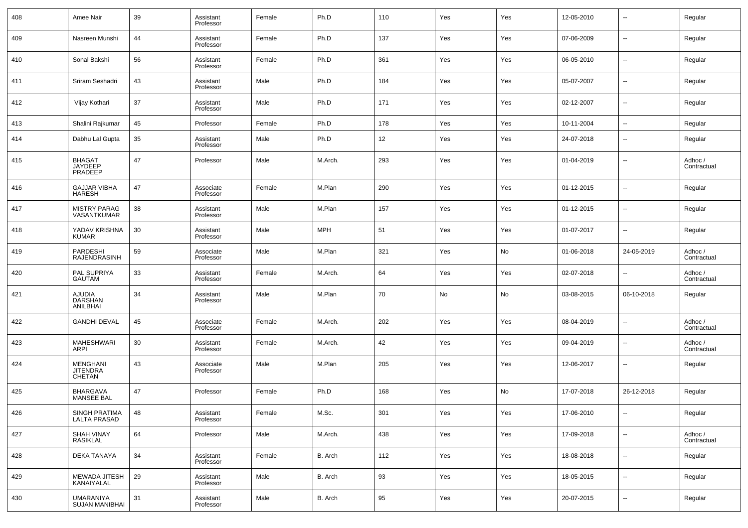| 408 | Amee Nair                                           | 39 | Assistant<br>Professor | Female | Ph.D    | 110 | Yes | Yes | 12-05-2010 | $\overline{\phantom{a}}$ | Regular                |
|-----|-----------------------------------------------------|----|------------------------|--------|---------|-----|-----|-----|------------|--------------------------|------------------------|
| 409 | Nasreen Munshi                                      | 44 | Assistant<br>Professor | Female | Ph.D    | 137 | Yes | Yes | 07-06-2009 | $\overline{\phantom{a}}$ | Regular                |
| 410 | Sonal Bakshi                                        | 56 | Assistant<br>Professor | Female | Ph.D    | 361 | Yes | Yes | 06-05-2010 | --                       | Regular                |
| 411 | Sriram Seshadri                                     | 43 | Assistant<br>Professor | Male   | Ph.D    | 184 | Yes | Yes | 05-07-2007 | $\overline{\phantom{a}}$ | Regular                |
| 412 | Vijay Kothari                                       | 37 | Assistant<br>Professor | Male   | Ph.D    | 171 | Yes | Yes | 02-12-2007 | $\overline{\phantom{a}}$ | Regular                |
| 413 | Shalini Rajkumar                                    | 45 | Professor              | Female | Ph.D    | 178 | Yes | Yes | 10-11-2004 | Ξ.                       | Regular                |
| 414 | Dabhu Lal Gupta                                     | 35 | Assistant<br>Professor | Male   | Ph.D    | 12  | Yes | Yes | 24-07-2018 | --                       | Regular                |
| 415 | <b>BHAGAT</b><br><b>JAYDEEP</b><br>PRADEEP          | 47 | Professor              | Male   | M.Arch. | 293 | Yes | Yes | 01-04-2019 | --                       | Adhoc /<br>Contractual |
| 416 | <b>GAJJAR VIBHA</b><br><b>HARESH</b>                | 47 | Associate<br>Professor | Female | M.Plan  | 290 | Yes | Yes | 01-12-2015 | $\overline{\phantom{a}}$ | Regular                |
| 417 | <b>MISTRY PARAG</b><br>VASANTKUMAR                  | 38 | Assistant<br>Professor | Male   | M.Plan  | 157 | Yes | Yes | 01-12-2015 | $\overline{\phantom{a}}$ | Regular                |
| 418 | YADAV KRISHNA<br>KUMAR                              | 30 | Assistant<br>Professor | Male   | MPH     | 51  | Yes | Yes | 01-07-2017 | $\overline{\phantom{a}}$ | Regular                |
| 419 | <b>PARDESHI</b><br><b>RAJENDRASINH</b>              | 59 | Associate<br>Professor | Male   | M.Plan  | 321 | Yes | No  | 01-06-2018 | 24-05-2019               | Adhoc /<br>Contractual |
| 420 | PAL SUPRIYA<br><b>GAUTAM</b>                        | 33 | Assistant<br>Professor | Female | M.Arch. | 64  | Yes | Yes | 02-07-2018 | $\overline{\phantom{a}}$ | Adhoc /<br>Contractual |
| 421 | <b>AJUDIA</b><br><b>DARSHAN</b><br>ANILBHAI         | 34 | Assistant<br>Professor | Male   | M.Plan  | 70  | No  | No  | 03-08-2015 | 06-10-2018               | Regular                |
| 422 | <b>GANDHI DEVAL</b>                                 | 45 | Associate<br>Professor | Female | M.Arch. | 202 | Yes | Yes | 08-04-2019 | --                       | Adhoc /<br>Contractual |
| 423 | <b>MAHESHWARI</b><br>ARPI                           | 30 | Assistant<br>Professor | Female | M.Arch. | 42  | Yes | Yes | 09-04-2019 | --                       | Adhoc /<br>Contractual |
| 424 | <b>MENGHANI</b><br><b>JITENDRA</b><br><b>CHETAN</b> | 43 | Associate<br>Professor | Male   | M.Plan  | 205 | Yes | Yes | 12-06-2017 | --                       | Regular                |
| 425 | <b>BHARGAVA</b><br><b>MANSEE BAL</b>                | 47 | Professor              | Female | Ph.D    | 168 | Yes | No  | 17-07-2018 | 26-12-2018               | Regular                |
| 426 | SINGH PRATIMA<br>LALTA PRASAD                       | 48 | Assistant<br>Professor | Female | M.Sc.   | 301 | Yes | Yes | 17-06-2010 | Ξ.                       | Regular                |
| 427 | SHAH VINAY<br>RASIKLAL                              | 64 | Professor              | Male   | M.Arch. | 438 | Yes | Yes | 17-09-2018 | Ξ.                       | Adhoc /<br>Contractual |
| 428 | DEKA TANAYA                                         | 34 | Assistant<br>Professor | Female | B. Arch | 112 | Yes | Yes | 18-08-2018 | Ξ.                       | Regular                |
| 429 | MEWADA JITESH<br>KANAIYALAL                         | 29 | Assistant<br>Professor | Male   | B. Arch | 93  | Yes | Yes | 18-05-2015 | Ξ.                       | Regular                |
| 430 | <b>UMARANIYA</b><br><b>SUJAN MANIBHAI</b>           | 31 | Assistant<br>Professor | Male   | B. Arch | 95  | Yes | Yes | 20-07-2015 | $\sim$                   | Regular                |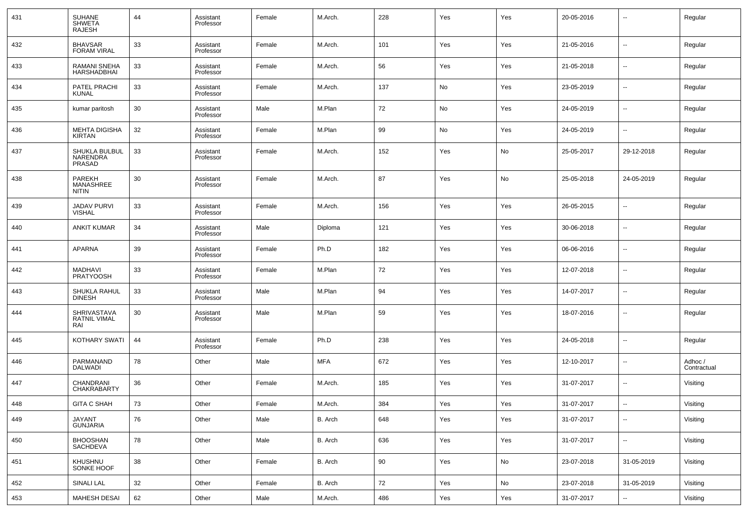| 431 | SUHANE<br>SHWETA<br><b>RAJESH</b>                 | 44 | Assistant<br>Professor | Female | M.Arch.    | 228 | Yes | Yes | 20-05-2016 | --                       | Regular                |
|-----|---------------------------------------------------|----|------------------------|--------|------------|-----|-----|-----|------------|--------------------------|------------------------|
| 432 | <b>BHAVSAR</b><br><b>FORAM VIRAL</b>              | 33 | Assistant<br>Professor | Female | M.Arch.    | 101 | Yes | Yes | 21-05-2016 | ш.                       | Regular                |
| 433 | <b>RAMANI SNEHA</b><br><b>HARSHADBHAI</b>         | 33 | Assistant<br>Professor | Female | M.Arch.    | 56  | Yes | Yes | 21-05-2018 | --                       | Regular                |
| 434 | PATEL PRACHI<br><b>KUNAL</b>                      | 33 | Assistant<br>Professor | Female | M.Arch.    | 137 | No  | Yes | 23-05-2019 | ш.                       | Regular                |
| 435 | kumar paritosh                                    | 30 | Assistant<br>Professor | Male   | M.Plan     | 72  | No  | Yes | 24-05-2019 | --                       | Regular                |
| 436 | <b>MEHTA DIGISHA</b><br><b>KIRTAN</b>             | 32 | Assistant<br>Professor | Female | M.Plan     | 99  | No  | Yes | 24-05-2019 | --                       | Regular                |
| 437 | SHUKLA BULBUL<br>NARENDRA<br>PRASAD               | 33 | Assistant<br>Professor | Female | M.Arch.    | 152 | Yes | No  | 25-05-2017 | 29-12-2018               | Regular                |
| 438 | <b>PAREKH</b><br><b>MANASHREE</b><br><b>NITIN</b> | 30 | Assistant<br>Professor | Female | M.Arch.    | 87  | Yes | No  | 25-05-2018 | 24-05-2019               | Regular                |
| 439 | <b>JADAV PURVI</b><br><b>VISHAL</b>               | 33 | Assistant<br>Professor | Female | M.Arch.    | 156 | Yes | Yes | 26-05-2015 | ۰.                       | Regular                |
| 440 | <b>ANKIT KUMAR</b>                                | 34 | Assistant<br>Professor | Male   | Diploma    | 121 | Yes | Yes | 30-06-2018 | --                       | Regular                |
| 441 | <b>APARNA</b>                                     | 39 | Assistant<br>Professor | Female | Ph.D       | 182 | Yes | Yes | 06-06-2016 | ۰.                       | Regular                |
| 442 | <b>MADHAVI</b><br><b>PRATYOOSH</b>                | 33 | Assistant<br>Professor | Female | M.Plan     | 72  | Yes | Yes | 12-07-2018 | --                       | Regular                |
| 443 | SHUKLA RAHUL<br><b>DINESH</b>                     | 33 | Assistant<br>Professor | Male   | M.Plan     | 94  | Yes | Yes | 14-07-2017 | ۰.                       | Regular                |
| 444 | SHRIVASTAVA<br><b>RATNIL VIMAL</b><br>RAI         | 30 | Assistant<br>Professor | Male   | M.Plan     | 59  | Yes | Yes | 18-07-2016 | --                       | Regular                |
| 445 | KOTHARY SWATI                                     | 44 | Assistant<br>Professor | Female | Ph.D       | 238 | Yes | Yes | 24-05-2018 | $\overline{a}$           | Regular                |
| 446 | PARMANAND<br><b>DALWADI</b>                       | 78 | Other                  | Male   | <b>MFA</b> | 672 | Yes | Yes | 12-10-2017 | --                       | Adhoc /<br>Contractual |
| 447 | CHANDRANI<br>CHAKRABARTY                          | 36 | Other                  | Female | M.Arch.    | 185 | Yes | Yes | 31-07-2017 | $\overline{a}$           | Visiting               |
| 448 | <b>GITA C SHAH</b>                                | 73 | Other                  | Female | M.Arch.    | 384 | Yes | Yes | 31-07-2017 | $\overline{\phantom{a}}$ | Visiting               |
| 449 | JAYANT<br><b>GUNJARIA</b>                         | 76 | Other                  | Male   | B. Arch    | 648 | Yes | Yes | 31-07-2017 | --                       | Visiting               |
| 450 | BHOOSHAN<br>SACHDEVA                              | 78 | Other                  | Male   | B. Arch    | 636 | Yes | Yes | 31-07-2017 | $\sim$                   | Visiting               |
| 451 | KHUSHNU<br>SONKE HOOF                             | 38 | Other                  | Female | B. Arch    | 90  | Yes | No  | 23-07-2018 | 31-05-2019               | Visiting               |
| 452 | SINALI LAL                                        | 32 | Other                  | Female | B. Arch    | 72  | Yes | No  | 23-07-2018 | 31-05-2019               | Visiting               |
| 453 | MAHESH DESAI                                      | 62 | Other                  | Male   | M.Arch.    | 486 | Yes | Yes | 31-07-2017 | $\sim$                   | Visiting               |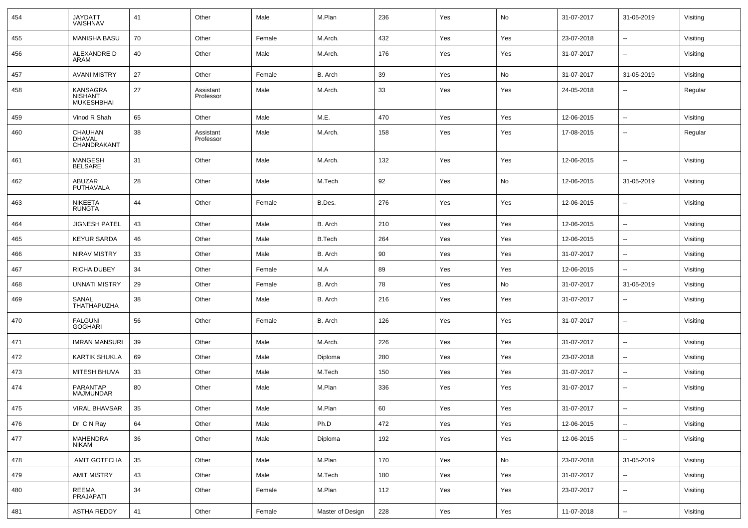| 454 | JAYDATT<br>VAISHNAV                             | 41 | Other                  | Male   | M.Plan           | 236 | Yes | No  | 31-07-2017 | 31-05-2019               | Visiting |
|-----|-------------------------------------------------|----|------------------------|--------|------------------|-----|-----|-----|------------|--------------------------|----------|
| 455 | <b>MANISHA BASU</b>                             | 70 | Other                  | Female | M.Arch.          | 432 | Yes | Yes | 23-07-2018 | $\overline{\phantom{a}}$ | Visiting |
| 456 | ALEXANDRE D<br>ARAM                             | 40 | Other                  | Male   | M.Arch.          | 176 | Yes | Yes | 31-07-2017 | $\overline{\phantom{a}}$ | Visiting |
| 457 | <b>AVANI MISTRY</b>                             | 27 | Other                  | Female | B. Arch          | 39  | Yes | No  | 31-07-2017 | 31-05-2019               | Visiting |
| 458 | KANSAGRA<br><b>NISHANT</b><br><b>MUKESHBHAI</b> | 27 | Assistant<br>Professor | Male   | M.Arch.          | 33  | Yes | Yes | 24-05-2018 | $\overline{\phantom{a}}$ | Regular  |
| 459 | Vinod R Shah                                    | 65 | Other                  | Male   | M.E.             | 470 | Yes | Yes | 12-06-2015 | $\overline{\phantom{a}}$ | Visiting |
| 460 | CHAUHAN<br><b>DHAVAL</b><br>CHANDRAKANT         | 38 | Assistant<br>Professor | Male   | M.Arch.          | 158 | Yes | Yes | 17-08-2015 | $\overline{\phantom{a}}$ | Regular  |
| 461 | <b>MANGESH</b><br><b>BELSARE</b>                | 31 | Other                  | Male   | M.Arch.          | 132 | Yes | Yes | 12-06-2015 | $\overline{\phantom{a}}$ | Visiting |
| 462 | ABUZAR<br>PUTHAVALA                             | 28 | Other                  | Male   | M.Tech           | 92  | Yes | No  | 12-06-2015 | 31-05-2019               | Visiting |
| 463 | <b>NIKEETA</b><br><b>RUNGTA</b>                 | 44 | Other                  | Female | B.Des.           | 276 | Yes | Yes | 12-06-2015 | $\overline{\phantom{a}}$ | Visiting |
| 464 | <b>JIGNESH PATEL</b>                            | 43 | Other                  | Male   | B. Arch          | 210 | Yes | Yes | 12-06-2015 | $\overline{\phantom{a}}$ | Visiting |
| 465 | <b>KEYUR SARDA</b>                              | 46 | Other                  | Male   | <b>B.Tech</b>    | 264 | Yes | Yes | 12-06-2015 | $\overline{\phantom{a}}$ | Visiting |
| 466 | <b>NIRAV MISTRY</b>                             | 33 | Other                  | Male   | B. Arch          | 90  | Yes | Yes | 31-07-2017 | $\overline{\phantom{a}}$ | Visiting |
| 467 | RICHA DUBEY                                     | 34 | Other                  | Female | M.A              | 89  | Yes | Yes | 12-06-2015 | $\overline{\phantom{a}}$ | Visiting |
| 468 | <b>UNNATI MISTRY</b>                            | 29 | Other                  | Female | B. Arch          | 78  | Yes | No  | 31-07-2017 | 31-05-2019               | Visiting |
| 469 | SANAL<br>THATHAPUZHA                            | 38 | Other                  | Male   | B. Arch          | 216 | Yes | Yes | 31-07-2017 | $\overline{\phantom{a}}$ | Visiting |
| 470 | <b>FALGUNI</b><br><b>GOGHARI</b>                | 56 | Other                  | Female | B. Arch          | 126 | Yes | Yes | 31-07-2017 | $\overline{\phantom{a}}$ | Visiting |
| 471 | <b>IMRAN MANSURI</b>                            | 39 | Other                  | Male   | M.Arch.          | 226 | Yes | Yes | 31-07-2017 | $\overline{\phantom{a}}$ | Visiting |
| 472 | <b>KARTIK SHUKLA</b>                            | 69 | Other                  | Male   | Diploma          | 280 | Yes | Yes | 23-07-2018 | $\overline{\phantom{a}}$ | Visiting |
| 473 | MITESH BHUVA                                    | 33 | Other                  | Male   | M.Tech           | 150 | Yes | Yes | 31-07-2017 | $\overline{\phantom{a}}$ | Visiting |
| 474 | PARANTAP<br><b>MAJMUNDAR</b>                    | 80 | Other                  | Male   | M.Plan           | 336 | Yes | Yes | 31-07-2017 | $\overline{\phantom{a}}$ | Visiting |
| 475 | VIRAL BHAVSAR                                   | 35 | Other                  | Male   | M.Plan           | 60  | Yes | Yes | 31-07-2017 | $\overline{\phantom{a}}$ | Visiting |
| 476 | Dr C N Ray                                      | 64 | Other                  | Male   | Ph.D             | 472 | Yes | Yes | 12-06-2015 | $\overline{\phantom{a}}$ | Visiting |
| 477 | MAHENDRA<br>NIKAM                               | 36 | Other                  | Male   | Diploma          | 192 | Yes | Yes | 12-06-2015 | $\overline{\phantom{a}}$ | Visiting |
| 478 | AMIT GOTECHA                                    | 35 | Other                  | Male   | M.Plan           | 170 | Yes | No  | 23-07-2018 | 31-05-2019               | Visiting |
| 479 | <b>AMIT MISTRY</b>                              | 43 | Other                  | Male   | M.Tech           | 180 | Yes | Yes | 31-07-2017 | $\overline{\phantom{a}}$ | Visiting |
| 480 | REEMA<br>PRAJAPATI                              | 34 | Other                  | Female | M.Plan           | 112 | Yes | Yes | 23-07-2017 | ۰.                       | Visiting |
| 481 | <b>ASTHA REDDY</b>                              | 41 | Other                  | Female | Master of Design | 228 | Yes | Yes | 11-07-2018 | $\overline{\phantom{a}}$ | Visiting |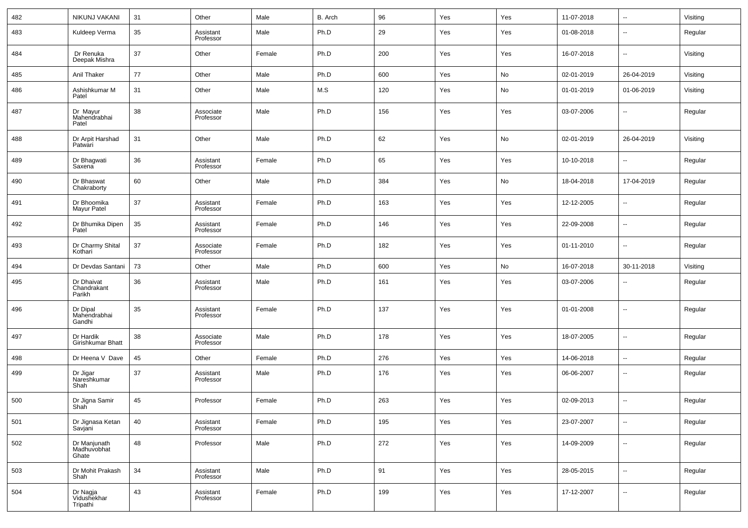| 482 | NIKUNJ VAKANI                        | 31 | Other                  | Male   | B. Arch | 96  | Yes | Yes | 11-07-2018 | $\overline{\phantom{a}}$ | Visiting |
|-----|--------------------------------------|----|------------------------|--------|---------|-----|-----|-----|------------|--------------------------|----------|
| 483 | Kuldeep Verma                        | 35 | Assistant<br>Professor | Male   | Ph.D    | 29  | Yes | Yes | 01-08-2018 | $\sim$                   | Regular  |
| 484 | Dr Renuka<br>Deepak Mishra           | 37 | Other                  | Female | Ph.D    | 200 | Yes | Yes | 16-07-2018 | $\sim$                   | Visiting |
| 485 | Anil Thaker                          | 77 | Other                  | Male   | Ph.D    | 600 | Yes | No  | 02-01-2019 | 26-04-2019               | Visiting |
| 486 | Ashishkumar M<br>Patel               | 31 | Other                  | Male   | M.S     | 120 | Yes | No  | 01-01-2019 | 01-06-2019               | Visiting |
| 487 | Dr Mayur<br>Mahendrabhai<br>Patel    | 38 | Associate<br>Professor | Male   | Ph.D    | 156 | Yes | Yes | 03-07-2006 | $\overline{\phantom{a}}$ | Regular  |
| 488 | Dr Arpit Harshad<br>Patwari          | 31 | Other                  | Male   | Ph.D    | 62  | Yes | No  | 02-01-2019 | 26-04-2019               | Visiting |
| 489 | Dr Bhagwati<br>Saxena                | 36 | Assistant<br>Professor | Female | Ph.D    | 65  | Yes | Yes | 10-10-2018 | $\sim$                   | Regular  |
| 490 | Dr Bhaswat<br>Chakraborty            | 60 | Other                  | Male   | Ph.D    | 384 | Yes | No  | 18-04-2018 | 17-04-2019               | Regular  |
| 491 | Dr Bhoomika<br>Mayur Patel           | 37 | Assistant<br>Professor | Female | Ph.D    | 163 | Yes | Yes | 12-12-2005 | $\ddotsc$                | Regular  |
| 492 | Dr Bhumika Dipen<br>Patel            | 35 | Assistant<br>Professor | Female | Ph.D    | 146 | Yes | Yes | 22-09-2008 | $\overline{\phantom{a}}$ | Regular  |
| 493 | Dr Charmy Shital<br>Kothari          | 37 | Associate<br>Professor | Female | Ph.D    | 182 | Yes | Yes | 01-11-2010 | $\ddotsc$                | Regular  |
| 494 | Dr Devdas Santani                    | 73 | Other                  | Male   | Ph.D    | 600 | Yes | No  | 16-07-2018 | 30-11-2018               | Visiting |
| 495 | Dr Dhaivat<br>Chandrakant<br>Parikh  | 36 | Assistant<br>Professor | Male   | Ph.D    | 161 | Yes | Yes | 03-07-2006 | $\overline{\phantom{a}}$ | Regular  |
| 496 | Dr Dipal<br>Mahendrabhai<br>Gandhi   | 35 | Assistant<br>Professor | Female | Ph.D    | 137 | Yes | Yes | 01-01-2008 | $\overline{\phantom{a}}$ | Regular  |
| 497 | Dr Hardik<br>Girishkumar Bhatt       | 38 | Associate<br>Professor | Male   | Ph.D    | 178 | Yes | Yes | 18-07-2005 | $\sim$                   | Regular  |
| 498 | Dr Heena V Dave                      | 45 | Other                  | Female | Ph.D    | 276 | Yes | Yes | 14-06-2018 | $\overline{\phantom{a}}$ | Regular  |
| 499 | Dr Jigar<br>Nareshkumar<br>Shah      | 37 | Assistant<br>Professor | Male   | Ph.D    | 176 | Yes | Yes | 06-06-2007 | $\overline{\phantom{a}}$ | Regular  |
| 500 | Dr Jigna Samir<br>Shah               | 45 | Professor              | Female | Ph.D    | 263 | Yes | Yes | 02-09-2013 | $\sim$                   | Regular  |
| 501 | Dr Jignasa Ketan<br>Savjani          | 40 | Assistant<br>Professor | Female | Ph.D    | 195 | Yes | Yes | 23-07-2007 | $\overline{\phantom{a}}$ | Regular  |
| 502 | Dr Manjunath<br>Madhuvobhat<br>Ghate | 48 | Professor              | Male   | Ph.D    | 272 | Yes | Yes | 14-09-2009 | $\overline{\phantom{a}}$ | Regular  |
| 503 | Dr Mohit Prakash<br>Shah             | 34 | Assistant<br>Professor | Male   | Ph.D    | 91  | Yes | Yes | 28-05-2015 | $\overline{\phantom{a}}$ | Regular  |
| 504 | Dr Nagja<br>Vidushekhar<br>Tripathi  | 43 | Assistant<br>Professor | Female | Ph.D    | 199 | Yes | Yes | 17-12-2007 | $\overline{\phantom{a}}$ | Regular  |